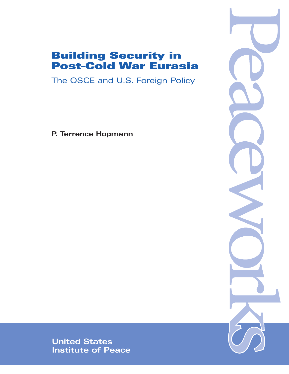# Building Security in Post–Cold War Eurasia

The OSCE and U.S. Foreign Policy

**P. Terrence Hopmann**



**United States Institute of Peace**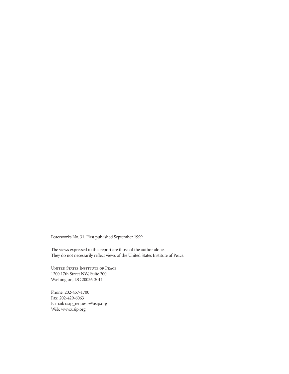Peaceworks No. 31. First published September 1999.

The views expressed in this report are those of the author alone. They do not necessarily reflect views of the United States Institute of Peace.

United States Institute of Peace 1200 17th Street NW, Suite 200 Washington, DC 20036-3011

Phone: 202-457-1700 Fax: 202-429-6063 E-mail: usip\_requests@usip.org Web: www.usip.org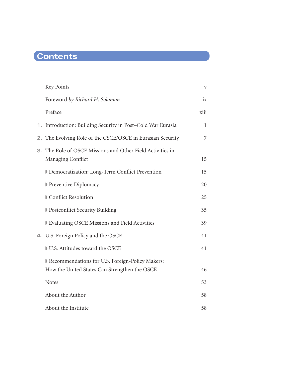# **Contents**

| Key Points                                                                      | V    |
|---------------------------------------------------------------------------------|------|
| Foreword by Richard H. Solomon                                                  | ix   |
| Preface                                                                         | xiii |
| Introduction: Building Security in Post-Cold War Eurasia<br>1.                  | 1    |
| The Evolving Role of the CSCE/OSCE in Eurasian Security<br>2.                   | 7    |
| 3. The Role of OSCE Missions and Other Field Activities in<br>Managing Conflict | 15   |
| Democratization: Long-Term Conflict Prevention                                  | 15   |
| <b>Preventive Diplomacy</b>                                                     | 20   |
| Conflict Resolution                                                             | 25   |
| D Postconflict Security Building                                                | 35   |
| <b>Evaluating OSCE Missions and Field Activities</b>                            | 39   |
| 4. U.S. Foreign Policy and the OSCE                                             | 41   |
| U.S. Attitudes toward the OSCE                                                  | 41   |
| Recommendations for U.S. Foreign-Policy Makers:                                 |      |
| How the United States Can Strengthen the OSCE                                   | 46   |
| <b>Notes</b>                                                                    | 53   |
| About the Author                                                                | 58   |
| About the Institute                                                             | 58   |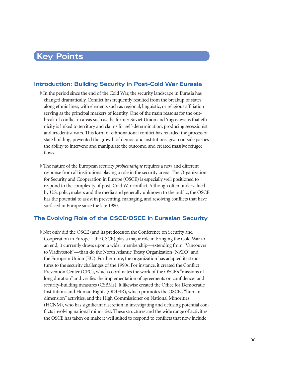# **Key Points**

### **Introduction: Building Security in Post–Cold War Eurasia**

- ◗ In the period since the end of the Cold War, the security landscape in Eurasia has changed dramatically. Conflict has frequently resulted from the breakup of states along ethnic lines, with elements such as regional, linguistic, or religious affiliation serving as the principal markers of identity. One of the main reasons for the outbreak of conflict in areas such as the former Soviet Union and Yugoslavia is that ethnicity is linked to territory and claims for self-determination, producing secessionist and irredentist wars. This form of ethnonational conflict has retarded the process of state building, prevented the growth of democratic institutions, given outside parties the ability to intervene and manipulate the outcome, and created massive refugee flows.
- ◗ The nature of the European security *problematique* requires a new and different response from all institutions playing a role in the security arena. The Organization for Security and Cooperation in Europe (OSCE) is especially well positioned to respond to the complexity of post–Cold War conflict. Although often undervalued by U.S. policymakers and the media and generally unknown to the public, the OSCE has the potential to assist in preventing, managing, and resolving conflicts that have surfaced in Europe since the late 1980s.

### **The Evolving Role of the CSCE/OSCE in Eurasian Security**

◗ Not only did the OSCE (and its predecessor, the Conference on Security and Cooperation in Europe—the CSCE) play a major role in bringing the Cold War to an end, it currently draws upon a wider membership—extending from "Vancouver to Vladivostok"—than do the North Atlantic Treaty Organization (NATO) and the European Union (EU). Furthermore, the organization has adapted its structures to the security challenges of the 1990s. For instance, it created the Conflict Prevention Center (CPC), which coordinates the work of the OSCE's "missions of long duration" and verifies the implementation of agreements on confidence- and security-building measures (CSBMs). It likewise created the Office for Democratic Institutions and Human Rights (ODIHR), which promotes the OSCE's "human dimension" activities, and the High Commissioner on National Minorities (HCNM), who has significant discretion in investigating and defusing potential conflicts involving national minorities. These structures and the wide range of activities the OSCE has taken on make it well suited to respond to conflicts that now include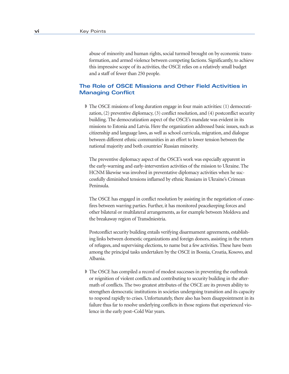abuse of minority and human rights, social turmoil brought on by economic transformation, and armed violence between competing factions. Significantly, to achieve this impressive scope of its activities, the OSCE relies on a relatively small budget and a staff of fewer than 250 people.

### **The Role of OSCE Missions and Other Field Activities in Managing Conflict**

◗ The OSCE missions of long duration engage in four main activities: (1) democratization, (2) preventive diplomacy, (3) conflict resolution, and (4) postconflict security building. The democratization aspect of the OSCE's mandate was evident in its missions to Estonia and Latvia. Here the organization addressed basic issues, such as citizenship and language laws, as well as school curricula, migration, and dialogue between different ethnic communities in an effort to lower tension between the national majority and both countries' Russian minority.

 The preventive diplomacy aspect of the OSCE's work was especially apparent in the early-warning and early-intervention activities of the mission to Ukraine. The HCNM likewise was involved in preventative diplomacy activities when he successfully diminished tensions inflamed by ethnic Russians in Ukraine's Crimean Peninsula.

 The OSCE has engaged in conflict resolution by assisting in the negotiation of ceasefires between warring parties. Further, it has monitored peacekeeping forces and other bilateral or multilateral arrangements, as for example between Moldova and the breakaway region of Transdniestria.

 Postconflict security building entails verifying disarmament agreements, establishing links between domestic organizations and foreign donors, assisting in the return of refugees, and supervising elections, to name but a few activities. These have been among the principal tasks undertaken by the OSCE in Bosnia, Croatia, Kosovo, and Albania.

◗ The OSCE has compiled a record of modest successes in preventing the outbreak or reignition of violent conflicts and contributing to security building in the aftermath of conflicts. The two greatest attributes of the OSCE are its proven ability to strengthen democratic institutions in societies undergoing transition and its capacity to respond rapidly to crises. Unfortunately, there also has been disappointment in its failure thus far to resolve underlying conflicts in those regions that experienced violence in the early post–Cold War years.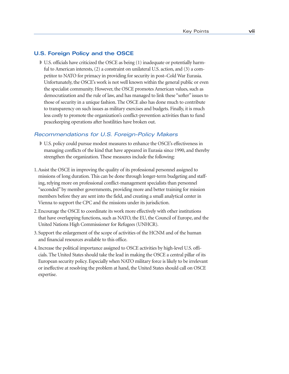### **U.S. Foreign Policy and the OSCE**

■ U.S. officials have criticized the OSCE as being (1) inadequate or potentially harmful to American interests, (2) a constraint on unilateral U.S. action, and (3) a competitor to NATO for primacy in providing for security in post–Cold War Eurasia. Unfortunately, the OSCE's work is not well known within the general public or even the specialist community. However, the OSCE promotes American values, such as democratization and the rule of law, and has managed to link these "softer" issues to those of security in a unique fashion. The OSCE also has done much to contribute to transparency on such issues as military exercises and budgets. Finally, it is much less costly to promote the organization's conflict-prevention activities than to fund peacekeeping operations after hostilities have broken out.

#### Recommendations for U.S. Foreign-Policy Makers

- ◗ U.S. policy could pursue modest measures to enhance the OSCE's effectiveness in managing conflicts of the kind that have appeared in Eurasia since 1990, and thereby strengthen the organization. These measures include the following:
- 1. Assist the OSCE in improving the quality of its professional personnel assigned to missions of long duration. This can be done through longer-term budgeting and staffing, relying more on professional conflict-management specialists than personnel "seconded" by member governments, providing more and better training for mission members before they are sent into the field, and creating a small analytical center in Vienna to support the CPC and the missions under its jurisdiction.
- 2. Encourage the OSCE to coordinate its work more effectively with other institutions that have overlapping functions, such as NATO, the EU, the Council of Europe, and the United Nations High Commissioner for Refugees (UNHCR).
- 3. Support the enlargement of the scope of activities of the HCNM and of the human and financial resources available to this office.
- 4. Increase the political importance assigned to OSCE activities by high-level U.S. officials. The United States should take the lead in making the OSCE a central pillar of its European security policy. Especially when NATO military force is likely to be irrelevant or ineffective at resolving the problem at hand, the United States should call on OSCE expertise.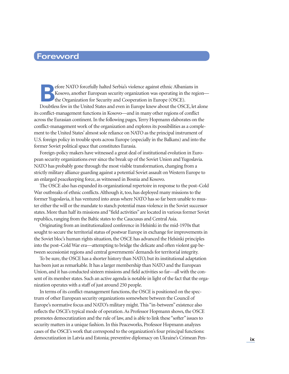# **Foreword**

efore NATO forcefully halted Serbia's violence against ethnic Albanians in<br>Kosovo, another European security organization was operating in the region<br>the Organization for Security and Cooperation in Europe (OSCE). Kosovo, another European security organization was operating in the region the Organization for Security and Cooperation in Europe (OSCE). Doubtless few in the United States and even in Europe knew about the OSCE, let alone its conflict-management functions in Kosovo—and in many other regions of conflict across the Eurasian continent. In the following pages, Terry Hopmann elaborates on the conflict-management work of the organization and explores its possibilities as a complement to the United States' almost sole reliance on NATO as the principal instrument of U.S. foreign policy in trouble spots across Europe (especially in the Balkans) and into the former Soviet political space that constitutes Eurasia.

Foreign-policy makers have witnessed a great deal of institutional evolution in European security organizations ever since the break up of the Soviet Union and Yugoslavia. NATO has probably gone through the most visible transformation, changing from a strictly military alliance guarding against a potential Soviet assault on Western Europe to an enlarged peacekeeping force, as witnessed in Bosnia and Kosovo.

The OSCE also has expanded its organizational repertoire in response to the post–Cold War outbreaks of ethnic conflicts. Although it, too, has deployed many missions to the former Yugoslavia, it has ventured into areas where NATO has so far been unable to muster either the will or the mandate to stanch potential mass violence in the Soviet successor states. More than half its missions and "field activities" are located in various former Soviet republics, ranging from the Baltic states to the Caucusus and Central Asia.

Originating from an institutionalized conference in Helsinki in the mid-1970s that sought to secure the territorial status of postwar Europe in exchange for improvements in the Soviet bloc's human rights situation, the OSCE has advanced the Helsinki principles into the post–Cold War era—attempting to bridge the delicate and often violent gap between secessionist regions and central governments' demands for territorial integrity.

To be sure, the OSCE has a shorter history than NATO, but its institutional adaptation has been just as remarkable. It has a larger membership than NATO and the European Union, and it has conducted sixteen missions and field activities so far—all with the consent of its member states. Such an active agenda is notable in light of the fact that the organization operates with a staff of just around 250 people.

In terms of its conflict-management functions, the OSCE is positioned on the spectrum of other European security organizations somewhere between the Council of Europe's normative focus and NATO's military might. This "in-between" existence also reflects the OSCE's typical mode of operation. As Professor Hopmann shows, the OSCE promotes democratization and the rule of law, and is able to link these "softer" issues to security matters in a unique fashion. In this Peaceworks, Professor Hopmann analyzes cases of the OSCE's work that correspond to the organization's four principal functions: democratization in Latvia and Estonia; preventive diplomacy on Ukraine's Crimean Pen- **ix**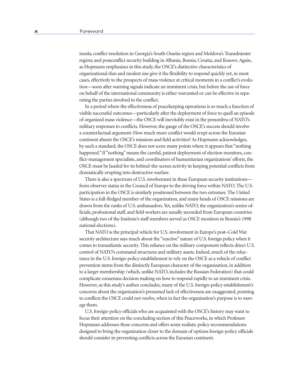insula; conflict resolution in Georgia's South Ossetia region and Moldova's Transdniester region; and postconflict security building in Albania, Bosnia, Croatia, and Kosovo. Again, as Hopmann emphasizes in this study, the OSCE's distinctive characteristics of organizational élan and modest size give it the flexibility to respond quickly yet, in most cases, effectively to the prospects of mass violence at critical moments in a conflict's evolution—soon after warning signals indicate an imminent crisis, but before the use of force on behalf of the international community is either warranted or can be effective in separating the parties involved in the conflict.

In a period where the effectiveness of peacekeeping operations is so much a function of visible successful outcomes—particularly after the deployment of force to quell an episode of organized mass violence—the OSCE will inevitably exist in the penumbra of NATO's military responses to conflicts. However, the gauge of the OSCE's success should involve a counterfactual argument: How much more conflict would erupt across the Eurasian continent absent the OSCE's missions and field activities? As Hopmann acknowledges, by such a standard, the OSCE does not score many points where it appears that "nothing happened." If "nothing" means the careful, patient deployment of election monitors, conflict-management specialists, and coordinators of humanitarian organizations' efforts, the OSCE must be lauded for its behind-the-scenes activity in keeping potential conflicts from dramatically erupting into destructive warfare.

There is also a spectrum of U.S. involvement in these European security institutions from observer status in the Council of Europe to the driving force within NATO. The U.S. participation in the OSCE is similarly positioned between the two extremes. The United States is a full-fledged member of the organization, and many heads of OSCE missions are drawn from the ranks of U.S. ambassadors. Yet, unlike NATO, the organization's senior officials, professional staff, and field workers are usually seconded from European countries (although two of the Institute's staff members served as OSCE monitors in Bosnia's 1998 national elections).

That NATO is the principal vehicle for U.S. involvement in Europe's post–Cold War security architecture says much about the "reactive" nature of U.S. foreign policy when it comes to transatlantic security. This reliance on the military component reflects direct U.S. control of NATO's command structures and military assets. Indeed, much of the reluctance in the U.S. foreign-policy establishment to rely on the OSCE as a vehicle of conflict prevention stems from the distinctly European character of the organization, in addition to a larger membership (which, unlike NATO, includes the Russian Federation) that could complicate consensus decision making on how to respond rapidly to an imminent crisis. However, as this study's author concludes, many of the U.S. foreign-policy establishment's concerns about the organization's presumed lack of effectiveness are exaggerated, pointing to conflicts the OSCE could not *resolve*, when in fact the organization's purpose is to *manage* them.

U.S. foreign-policy officials who are acquainted with the OSCE's history may want to focus their attention on the concluding section of this Peaceworks, in which Professor Hopmann addresses these concerns and offers some realistic policy recommendations designed to bring the organization closer to the domain of options foreign-policy officials should consider in preventing conflicts across the Eurasian continent.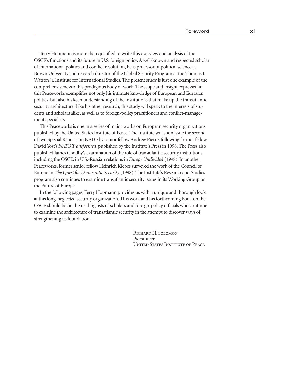Terry Hopmann is more than qualified to write this overview and analysis of the OSCE's functions and its future in U.S. foreign policy. A well-known and respected scholar of international politics and conflict resolution, he is professor of political science at Brown University and research director of the Global Security Program at the Thomas J. Watson Jr. Institute for International Studies. The present study is just one example of the comprehensiveness of his prodigious body of work. The scope and insight expressed in this Peaceworks exemplifies not only his intimate knowledge of European and Eurasian politics, but also his keen understanding of the institutions that make up the transatlantic security architecture. Like his other research, this study will speak to the interests of students and scholars alike, as well as to foreign-policy practitioners and conflict-management specialists.

This Peaceworks is one in a series of major works on European security organizations published by the United States Institute of Peace. The Institute will soon issue the second of two Special Reports on NATO by senior fellow Andrew Pierre, following former fellow David Yost's *NATO Transformed*, published by the Institute's Press in 1998. The Press also published James Goodby's examination of the role of transatlantic security institutions, including the OSCE, in U.S.-Russian relations in *Europe Undivided* (1998). In another Peaceworks, former senior fellow Heinrich Klebes surveyed the work of the Council of Europe in *The Quest for Democratic Security* (1998). The Institute's Research and Studies program also continues to examine transatlantic security issues in its Working Group on the Future of Europe.

In the following pages, Terry Hopmann provides us with a unique and thorough look at this long-neglected security organization. This work and his forthcoming book on the OSCE should be on the reading lists of scholars and foreign-policy officials who continue to examine the architecture of transatlantic security in the attempt to discover ways of strengthening its foundation.

> Richard H. Solomon **PRESIDENT** UNITED STATES INSTITUTE OF PEACE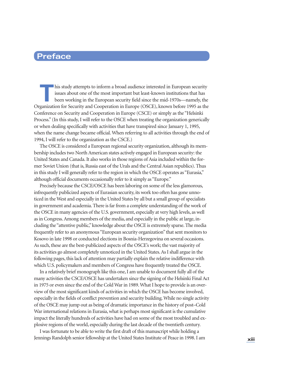# **Preface**

**This study attempts to inform a broad audience interested in European security** issues about one of the most important but least-known institutions that has been working in the European security field since the mid-1970s—namely, the Organization for Security and Cooperation in Europe (OSCE), known before 1995 as the Conference on Security and Cooperation in Europe (CSCE) or simply as the "Helsinki Process." (In this study, I will refer to the OSCE when treating the organization generically or when dealing specifically with activities that have transpired since January 1, 1995, when the name change became official. When referring to all activities through the end of 1994, I will refer to the organization as the CSCE.)

The OSCE is considered a European regional security organization, although its membership includes two North American states actively engaged in European security: the United States and Canada. It also works in those regions of Asia included within the former Soviet Union (that is, Russia east of the Urals and the Central Asian republics). Thus in this study I will generally refer to the region in which the OSCE operates as "Eurasia," although official documents occasionally refer to it simply as "Europe."

Precisely because the CSCE/OSCE has been laboring on some of the less glamorous, infrequently publicized aspects of Eurasian security, its work too often has gone unnoticed in the West and especially in the United States by all but a small group of specialists in government and academia. There is far from a complete understanding of the work of the OSCE in many agencies of the U.S. government, especially at very high levels, as well as in Congress. Among members of the media, and especially in the public at large, including the "attentive public," knowledge about the OSCE is extremely sparse. The media frequently refer to an anonymous "European security organization" that sent monitors to Kosovo in late 1998 or conducted elections in Bosnia-Herzegovina on several occasions. As such, these are the best-publicized aspects of the OSCE's work; the vast majority of its activities go almost completely unnoticed in the United States. As I shall argue in the following pages, this lack of attention may partially explain the relative indifference with which U.S. policymakers and members of Congress have frequently treated the OSCE.

In a relatively brief monograph like this one, I am unable to document fully all of the many activities the CSCE/OSCE has undertaken since the signing of the Helsinki Final Act in 1975 or even since the end of the Cold War in 1989. What I hope to provide is an overview of the most significant kinds of activities in which the OSCE has become involved, especially in the fields of conflict prevention and security building. While no single activity of the OSCE may jump out as being of dramatic importance in the history of post–Cold War international relations in Eurasia, what is perhaps most significant is the cumulative impact the literally hundreds of activities have had on some of the most troubled and explosive regions of the world, especially during the last decade of the twentieth century.

I was fortunate to be able to write the first draft of this manuscript while holding a Jennings Randolph senior fellowship at the United States Institute of Peace in 1998. I am **xiii**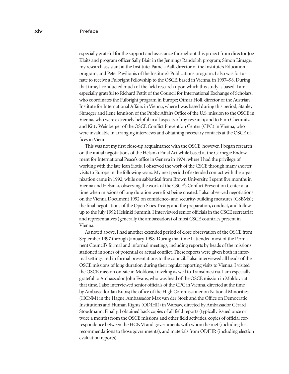especially grateful for the support and assistance throughout this project from director Joe Klaits and program officer Sally Blair in the Jennings Randolph program; Simon Limage, my research assistant at the Institute; Pamela Aall, director of the Institute's Education program; and Peter Pavilionis of the Institute's Publications program. I also was fortunate to receive a Fulbright Fellowship to the OSCE, based in Vienna, in 1997–98. During that time, I conducted much of the field research upon which this study is based. I am especially grateful to Richard Pettit of the Council for International Exchange of Scholars, who coordinates the Fulbright program in Europe; Otmar Höll, director of the Austrian Institute for International Affairs in Vienna, where I was based during this period; Stanley Shraeger and Ilene Jennison of the Public Affairs Office of the U.S. mission to the OSCE in Vienna, who were extremely helpful in all aspects of my research; and to Finn Chemnitz and Kitty Weinberger of the OSCE Conflict Prevention Center (CPC) in Vienna, who were invaluable in arranging interviews and obtaining necessary contacts at the OSCE offices in Vienna.

This was not my first close-up acquaintance with the OSCE, however. I began research on the initial negotiations of the Helsinki Final Act while based at the Carnegie Endowment for International Peace's office in Geneva in 1974, where I had the privilege of working with the late Jean Siotis. I observed the work of the CSCE through many shorter visits to Europe in the following years. My next period of extended contact with the organization came in 1992, while on sabbatical from Brown University. I spent five months in Vienna and Helsinki, observing the work of the CSCE's Conflict Prevention Center at a time when missions of long duration were first being created. I also observed negotiations on the Vienna Document 1992 on confidence- and security-building measures (CSBMs); the final negotiations of the Open Skies Treaty; and the preparation, conduct, and followup to the July 1992 Helsinki Summit. I interviewed senior officials in the CSCE secretariat and representatives (generally the ambassadors) of most CSCE countries present in Vienna.

As noted above, I had another extended period of close observation of the OSCE from September 1997 through January 1998. During that time I attended most of the Permanent Council's formal and informal meetings, including reports by heads of the missions stationed in zones of potential or actual conflict. These reports were given both in informal settings and in formal presentations to the council. I also interviewed all heads of the OSCE missions of long duration during their regular reporting visits to Vienna. I visited the OSCE mission on-site in Moldova, traveling as well to Transdniestria. I am especially grateful to Ambassador John Evans, who was head of the OSCE mission in Moldova at that time. I also interviewed senior officials of the CPC in Vienna, directed at the time by Ambassador Jan Kubis; the office of the High Commissioner on National Minorities (HCNM) in the Hague, Ambassador Max van der Stoel; and the Office on Democratic Institutions and Human Rights (ODIHR) in Warsaw, directed by Ambassador Gérard Stoudmann. Finally, I obtained back copies of all field reports (typically issued once or twice a month) from the OSCE missions and other field activities, copies of official correspondence between the HCNM and governments with whom he met (including his recommendations to those governments), and materials from ODIHR (including election evaluation reports).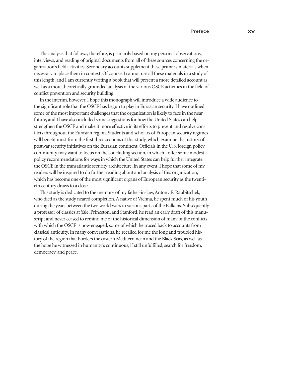The analysis that follows, therefore, is primarily based on my personal observations, interviews, and reading of original documents from all of these sources concerning the organization's field activities. Secondary accounts supplement these primary materials when necessary to place them in context. Of course, I cannot use all these materials in a study of this length, and I am currently writing a book that will present a more detailed account as well as a more theoretically grounded analysis of the various OSCE activities in the field of conflict prevention and security building.

In the interim, however, I hope this monograph will introduce a wide audience to the significant role that the OSCE has begun to play in Eurasian security. I have outlined some of the most important challenges that the organization is likely to face in the near future, and I have also included some suggestions for how the United States can help strengthen the OSCE and make it more effective in its efforts to prevent and resolve conflicts throughout the Eurasian region. Students and scholars of European security regimes will benefit most from the first three sections of this study, which examine the history of postwar security initiatives on the Eurasian continent. Officials in the U.S. foreign policy community may want to focus on the concluding section, in which I offer some modest policy recommendations for ways in which the United States can help further integrate the OSCE in the transatlantic security architecture. In any event, I hope that some of my readers will be inspired to do further reading about and analysis of this organization, which has become one of the most significant organs of European security as the twentieth century draws to a close.

This study is dedicated to the memory of my father-in-law, Antony E. Raubitschek, who died as the study neared completion. A native of Vienna, he spent much of his youth during the years between the two world wars in various parts of the Balkans. Subsequently a professor of classics at Yale, Princeton, and Stanford, he read an early draft of this manuscript and never ceased to remind me of the historical dimension of many of the conflicts with which the OSCE is now engaged, some of which he traced back to accounts from classical antiquity. In many conversations, he recalled for me the long and troubled history of the region that borders the eastern Mediterranean and the Black Seas, as well as the hope he witnessed in humanity's continuous, if still unfulfilled, search for freedom, democracy, and peace.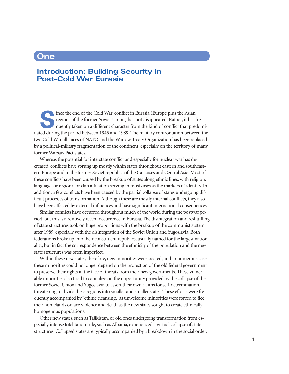## **One**

## **Introduction: Building Security in Post–Cold War Eurasia**

**S**ince the end of the Cold War, conflict in Eurasia (Europe plus the Asian regions of the former Soviet Union) has not disappeared. Rather, it has frequently taken on a different character from the kind of conflict that predominated during the period between 1945 and 1989. The military confrontation between the two Cold War alliances of NATO and the Warsaw Treaty Organization has been replaced by a political-military fragmentation of the continent, especially on the territory of many former Warsaw Pact states.

Whereas the potential for interstate conflict and especially for nuclear war has decreased, conflicts have sprung up mostly within states throughout eastern and southeastern Europe and in the former Soviet republics of the Caucuses and Central Asia. Most of these conflicts have been caused by the breakup of states along ethnic lines, with religion, language, or regional or clan affiliation serving in most cases as the markers of identity. In addition, a few conflicts have been caused by the partial collapse of states undergoing difficult processes of transformation. Although these are mostly internal conflicts, they also have been affected by external influences and have significant international consequences.

Similar conflicts have occurred throughout much of the world during the postwar period, but this is a relatively recent occurrence in Eurasia. The disintegration and reshuffling of state structures took on huge proportions with the breakup of the communist system after 1989, especially with the disintegration of the Soviet Union and Yugoslavia. Both federations broke up into their constituent republics, usually named for the largest nationality, but in fact the correspondence between the ethnicity of the population and the new state structures was often imperfect.

Within these new states, therefore, new minorities were created, and in numerous cases these minorities could no longer depend on the protection of the old federal government to preserve their rights in the face of threats from their new governments. These vulnerable minorities also tried to capitalize on the opportunity provided by the collapse of the former Soviet Union and Yugoslavia to assert their own claims for self-determination, threatening to divide these regions into smaller and smaller states. These efforts were frequently accompanied by "ethnic cleansing," as unwelcome minorities were forced to flee their homelands or face violence and death as the new states sought to create ethnically homogenous populations.

Other new states, such as Tajikistan, or old ones undergoing transformation from especially intense totalitarian rule, such as Albania, experienced a virtual collapse of state structures. Collapsed states are typically accompanied by a breakdown in the social order.

**1**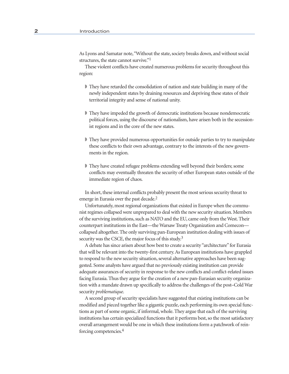As Lyons and Samatar note, "Without the state, society breaks down, and without social structures, the state cannot survive."1

These violent conflicts have created numerous problems for security throughout this region:

- ◗ They have retarded the consolidation of nation and state building in many of the newly independent states by draining resources and depriving these states of their territorial integrity and sense of national unity.
- ◗ They have impeded the growth of democratic institutions because nondemocratic political forces, using the discourse of nationalism, have arisen both in the secessionist regions and in the core of the new states.
- ◗ They have provided numerous opportunities for outside parties to try to manipulate these conflicts to their own advantage, contrary to the interests of the new governments in the region.
- ◗ They have created refugee problems extending well beyond their borders; some conflicts may eventually threaten the security of other European states outside of the immediate region of chaos.

In short, these internal conflicts probably present the most serious security threat to emerge in Eurasia over the past decade.<sup>2</sup>

Unfortunately, most regional organizations that existed in Europe when the communist regimes collapsed were unprepared to deal with the new security situation. Members of the surviving institutions, such as NATO and the EU, came only from the West. Their counterpart institutions in the East—the Warsaw Treaty Organization and Comecon collapsed altogether. The only surviving pan-European institution dealing with issues of security was the CSCE, the major focus of this study.<sup>3</sup>

A debate has since arisen about how best to create a security "architecture" for Eurasia that will be relevant into the twenty-first century. As European institutions have grappled to respond to the new security situation, several alternative approaches have been suggested. Some analysts have argued that no previously existing institution can provide adequate assurances of security in response to the new conflicts and conflict-related issues facing Eurasia. Thus they argue for the creation of a new pan-Eurasian security organization with a mandate drawn up specifically to address the challenges of the post–Cold War security *problematique*.

A second group of security specialists have suggested that existing institutions can be modified and pieced together like a gigantic puzzle, each performing its own special functions as part of some organic, if informal, whole. They argue that each of the surviving institutions has certain specialized functions that it performs best, so the most satisfactory overall arrangement would be one in which these institutions form a patchwork of reinforcing competencies.4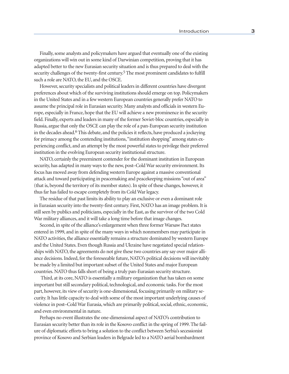Finally, some analysts and policymakers have argued that eventually one of the existing organizations will win out in some kind of Darwinian competition, proving that it has adapted better to the new Eurasian security situation and is thus prepared to deal with the security challenges of the twenty-first century.<sup>5</sup> The most prominent candidates to fulfill such a role are NATO, the EU, and the OSCE.

However, security specialists and political leaders in different countries have divergent preferences about which of the surviving institutions should emerge on top. Policymakers in the United States and in a few western European countries generally prefer NATO to assume the principal role in Eurasian security. Many analysts and officials in western Europe, especially in France, hope that the EU will achieve a new prominence in the security field. Finally, experts and leaders in many of the former Soviet-bloc countries, especially in Russia, argue that only the OSCE can play the role of a pan-European security institution in the decades ahead.<sup>6</sup> This debate, and the policies it reflects, have produced a jockeying for primacy among the contending institutions, "institution shopping" among states experiencing conflict, and an attempt by the most powerful states to privilege their preferred institution in the evolving European security institutional structure.

NATO, certainly the preeminent contender for the dominant institution in European security, has adapted in many ways to the new, post–Cold War security environment. Its focus has moved away from defending western Europe against a massive conventional attack and toward participating in peacemaking and peacekeeping missions "out of area" (that is, beyond the territory of its member states). In spite of these changes, however, it thus far has failed to escape completely from its Cold War legacy.

The residue of that past limits its ability to play an exclusive or even a dominant role in Eurasian security into the twenty-first century. First, NATO has an image problem. It is still seen by publics and politicians, especially in the East, as the survivor of the two Cold War military alliances, and it will take a long time before that image changes.

Second, in spite of the alliance's enlargement when three former Warsaw Pact states entered in 1999, and in spite of the many ways in which nonmembers may participate in NATO activities, the alliance essentially remains a structure dominated by western Europe and the United States. Even though Russia and Ukraine have negotiated special relationships with NATO, the agreements do not give these two countries any say over major alliance decisions. Indeed, for the foreseeable future, NATO's political decisions will inevitably be made by a limited but important subset of the United States and major European countries. NATO thus falls short of being a truly pan-Eurasian security structure.

 Third, at its core, NATO is essentially a military organization that has taken on some important but still secondary political, technological, and economic tasks. For the most part, however, its view of security is one-dimensional, focusing primarily on military security. It has little capacity to deal with some of the most important underlying causes of violence in post–Cold War Eurasia, which are primarily political, social, ethnic, economic, and even environmental in nature.

Perhaps no event illustrates the one-dimensional aspect of NATO's contribution to Eurasian security better than its role in the Kosovo conflict in the spring of 1999. The failure of diplomatic efforts to bring a solution to the conflict between Serbia's secessionist province of Kosovo and Serbian leaders in Belgrade led to a NATO aerial bombardment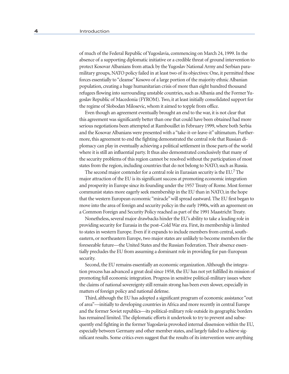of much of the Federal Republic of Yugoslavia, commencing on March 24, 1999. In the absence of a supporting diplomatic initiative or a credible threat of ground intervention to protect Kosovar Albanians from attack by the Yugoslav National Army and Serbian paramilitary groups, NATO policy failed in at least two of its objectives: One, it permitted these forces essentially to "cleanse" Kosovo of a large portion of the majority ethnic Albanian population, creating a huge humanitarian crisis of more than eight hundred thousand refugees flowing into surrounding unstable countries, such as Albania and the Former Yugoslav Republic of Macedonia (FYROM). Two, it at least initially consolidated support for the regime of Slobodan Milosevic, whom it aimed to topple from office.

Even though an agreement eventually brought an end to the war, it is not clear that this agreement was significantly better than one that could have been obtained had more serious negotiations been attempted at Rambouillet in February 1999, where both Serbia and the Kosovar Albanians were presented with a "take-it-or-leave-it" ultimatum. Furthermore, this agreement to end the fighting demonstrated the central role that Russian diplomacy can play in eventually achieving a political settlement in those parts of the world where it is still an influential party. It thus also demonstrated conclusively that many of the security problems of this region cannot be resolved without the participation of most states from the region, including countries that do not belong to NATO, such as Russia.

The second major contender for a central role in Eurasian security is the EU.7 The major attraction of the EU is its significant success at promoting economic integration and prosperity in Europe since its founding under the 1957 Treaty of Rome. Most former communist states more eagerly seek membership in the EU than in NATO, in the hope that the western European economic "miracle" will spread eastward. The EU first began to move into the area of foreign and security policy in the early 1990s, with an agreement on a Common Foreign and Security Policy reached as part of the 1991 Maastricht Treaty.

Nonetheless, several major drawbacks hinder the EU's ability to take a leading role in providing security for Eurasia in the post–Cold War era. First, its membership is limited to states in western Europe. Even if it expands to include members from central, southeastern, or northeastern Europe, two major states are unlikely to become members for the foreseeable future—the United States and the Russian Federation. Their absence essentially precludes the EU from assuming a dominant role in providing for pan-European security.

Second, the EU remains essentially an economic organization. Although the integration process has advanced a great deal since 1958, the EU has not yet fulfilled its mission of promoting full economic integration. Progress in sensitive political-military issues where the claims of national sovereignty still remain strong has been even slower, especially in matters of foreign policy and national defense.

Third, although the EU has adopted a significant program of economic assistance "out of area"—initially to developing countries in Africa and more recently in central Europe and the former Soviet republics—its political-military role outside its geographic borders has remained limited. The diplomatic efforts it undertook to try to prevent and subsequently end fighting in the former Yugoslavia provoked internal dissension within the EU, especially between Germany and other member states, and largely failed to achieve significant results. Some critics even suggest that the results of its intervention were anything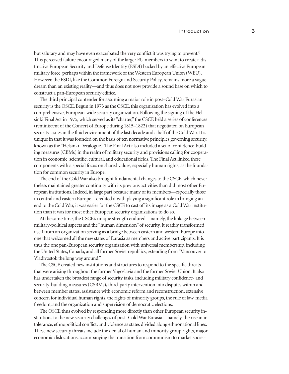but salutary and may have even exacerbated the very conflict it was trying to prevent.<sup>8</sup> This perceived failure encouraged many of the larger EU members to want to create a distinctive European Security and Defense Identity (ESDI) backed by an effective European military force, perhaps within the framework of the Western European Union (WEU). However, the ESDI, like the Common Foreign and Security Policy, remains more a vague dream than an existing reality—and thus does not now provide a sound base on which to construct a pan-European security edifice.

The third principal contender for assuming a major role in post–Cold War Eurasian security is the OSCE. Begun in 1973 as the CSCE, this organization has evolved into a comprehensive, European-wide security organization. Following the signing of the Helsinki Final Act in 1975, which served as its "charter," the CSCE held a series of conferences (reminiscent of the Concert of Europe during 1815–1822) that negotiated on European security issues in the fluid environment of the last decade and a half of the Cold War. It is unique in that it was founded on the basis of ten normative principles governing security, known as the "Helsinki Decalogue." The Final Act also included a set of confidence-building measures (CBMs) in the realm of military security and provisions calling for cooperation in economic, scientific, cultural, and educational fields. The Final Act linked these components with a special focus on shared values, especially human rights, as the foundation for common security in Europe.

The end of the Cold War also brought fundamental changes to the CSCE, which nevertheless maintained greater continuity with its previous activities than did most other European institutions. Indeed, in large part because many of its members—especially those in central and eastern Europe—credited it with playing a significant role in bringing an end to the Cold War, it was easier for the CSCE to cast off its image as a Cold War institution than it was for most other European security organizations to do so.

At the same time, the CSCE's unique strength endured—namely, the linkage between military-political aspects and the "human dimension" of security. It readily transformed itself from an organization serving as a bridge between eastern and western Europe into one that welcomed all the new states of Eurasia as members and active participants. It is thus the one pan-European security organization with universal membership, including the United States, Canada, and all former Soviet republics, extending from "Vancouver to Vladivostok the long way around."

The CSCE created new institutions and structures to respond to the specific threats that were arising throughout the former Yugoslavia and the former Soviet Union. It also has undertaken the broadest range of security tasks, including military confidence- and security-building measures (CSBMs), third-party intervention into disputes within and between member states, assistance with economic reform and reconstruction, extensive concern for individual human rights, the rights of minority groups, the rule of law, media freedom, and the organization and supervision of democratic elections.

The OSCE thus evolved by responding more directly than other European security institutions to the new security challenges of post–Cold War Eurasia—namely, the rise in intolerance, ethnopolitical conflict, and violence as states divided along ethnonational lines. These new security threats include the denial of human and minority group rights, major economic dislocations accompanying the transition from communism to market societ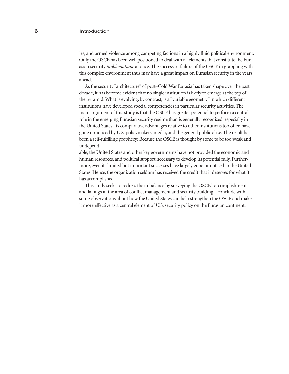ies, and armed violence among competing factions in a highly fluid political environment. Only the OSCE has been well positioned to deal with all elements that constitute the Eurasian security *problematique* at once. The success or failure of the OSCE in grappling with this complex environment thus may have a great impact on Eurasian security in the years ahead.

As the security "architecture" of post–Cold War Eurasia has taken shape over the past decade, it has become evident that no single institution is likely to emerge at the top of the pyramid. What is evolving, by contrast, is a "variable geometry" in which different institutions have developed special competencies in particular security activities. The main argument of this study is that the OSCE has greater potential to perform a central role in the emerging Eurasian security regime than is generally recognized, especially in the United States. Its comparative advantages relative to other institutions too often have gone unnoticed by U.S. policymakers, media, and the general public alike. The result has been a self-fulfilling prophecy: Because the OSCE is thought by some to be too weak and undepend-

able, the United States and other key governments have not provided the economic and human resources, and political support necessary to develop its potential fully. Furthermore, even its limited but important successes have largely gone unnoticed in the United States. Hence, the organization seldom has received the credit that it deserves for what it has accomplished.

This study seeks to redress the imbalance by surveying the OSCE's accomplishments and failings in the area of conflict management and security building. I conclude with some observations about how the United States can help strengthen the OSCE and make it more effective as a central element of U.S. security policy on the Eurasian continent.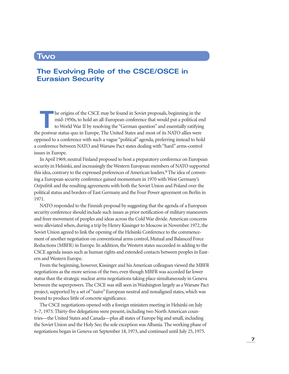### **Two**

# **The Evolving Role of the CSCE/OSCE in Eurasian Security**

**THE ORIGINAL STATE OF THE ORIGINAL STATE OF THE ORIGINAL STATE OF THE ORIGINAL STATE OF THE ORIGINAL STATE OF THE STATE OF THE STATE OF THE STATE OF THE STATE OF THE STATE OF THE STATE OF THE STATE OF THE STATE OF THE STA** mid-1950s, to hold an all-European conference that would put a political end to World War II by resolving the "German question" and essentially ratifying the postwar status quo in Europe. The United States and most of its NATO allies were opposed to a conference with such a vague "political" agenda, preferring instead to hold a conference between NATO and Warsaw Pact states dealing with "hard" arms-control issues in Europe.

In April 1969, neutral Finland proposed to host a preparatory conference on European security in Helsinki, and increasingly the Western European members of NATO supported this idea, contrary to the expressed preferences of American leaders.<sup>9</sup> The idea of convening a European security conference gained momentum in 1970 with West Germany's *Ostpolitik* and the resulting agreements with both the Soviet Union and Poland over the political status and borders of East Germany and the Four Power agreement on Berlin in 1971.

NATO responded to the Finnish proposal by suggesting that the agenda of a European security conference should include such issues as prior notification of military maneuvers and freer movement of peoples and ideas across the Cold War divide. American concerns were alleviated when, during a trip by Henry Kissinger to Moscow in November 1972, the Soviet Union agreed to link the opening of the Helsinki Conference to the commencement of another negotiation on conventional arms control, Mutual and Balanced Force Reductions (MBFR) in Europe. In addition, the Western states succeeded in adding to the CSCE agenda issues such as human rights and extended contacts between peoples in Eastern and Western Europe.

From the beginning, however, Kissinger and his American colleagues viewed the MBFR negotiations as the more serious of the two, even though MBFR was accorded far lower status than the strategic nuclear arms negotiations taking place simultaneously in Geneva between the superpowers. The CSCE was still seen in Washington largely as a Warsaw Pact project, supported by a set of "naive" European neutral and nonaligned states, which was bound to produce little of concrete significance.

The CSCE negotiations opened with a foreign ministers meeting in Helsinki on July 3–7, 1973. Thirty-five delegations were present, including two North American countries—the United States and Canada—plus all states of Europe big and small, including the Soviet Union and the Holy See; the sole exception was Albania. The working phase of negotiations began in Geneva on September 18, 1973, and continued until July 25, 1975.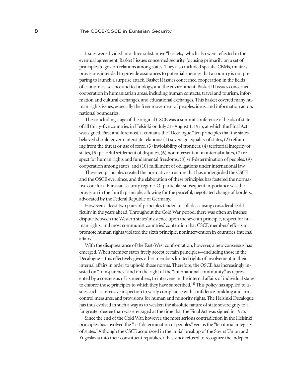Issues were divided into three substantive "baskets," which also were reflected in the eventual agreement. Basket I issues concerned security, focusing primarily on a set of principles to govern relations among states. They also included specific CBMs, military provisions intended to provide assurances to potential enemies that a country is not preparing to launch a surprise attack. Basket II issues concerned cooperation in the fields of economics, science and technology, and the environment. Basket III issues concerned cooperation in humanitarian areas, including human contacts, travel and tourism, information and cultural exchanges, and educational exchanges. This basket covered many human rights issues, especially the freer movement of peoples, ideas, and information across national boundaries.

The concluding stage of the original CSCE was a summit conference of heads of state of all thirty-five countries in Helsinki on July 31–August 1, 1975, at which the Final Act was signed. First and foremost, it contains the "Decalogue," ten principles that the states believed should govern interstate relations: (1) sovereign equality of states, (2) refraining from the threat or use of force, (3) inviolability of frontiers, (4) territorial integrity of states, (5) peaceful settlement of disputes, (6) nonintervention in internal affairs, (7) respect for human rights and fundamental freedoms, (8) self-determination of peoples, (9) cooperation among states, and (10) fulfillment of obligations under international law.

These ten principles created the normative structure that has undergirded the CSCE and the OSCE ever since, and the elaboration of these principles has fostered the normative core for a Eurasian security regime. Of particular subsequent importance was the provision in the fourth principle, allowing for the peaceful, negotiated change of borders, advocated by the Federal Republic of Germany.

However, at least two pairs of principles tended to collide, causing considerable difficulty in the years ahead. Throughout the Cold War period, there was often an intense dispute between the Western states' insistence upon the seventh principle, respect for human rights, and most communist countries' contention that CSCE members' efforts to promote human rights violated the sixth principle, nonintervention in countries' internal affairs.

With the disappearance of the East-West confrontation, however, a new consensus has emerged. When member states freely accept certain principles—including those in the Decalogue—this effectively gives other members limited rights of involvement in their internal affairs in order to uphold those norms. Therefore, the OSCE has increasingly insisted on "transparency" and on the right of the "international community," as represented by a consensus of its members, to intervene in the internal affairs of individual states to enforce those principles to which they have subscribed.<sup>10</sup> This policy has applied to issues such as intrusive inspection to verify compliance with confidence-building and arms control measures, and provisions for human and minority rights. The Helsinki Decalogue has thus evolved in such a way as to weaken the absolute nature of state sovereignty to a far greater degree than was envisaged at the time that the Final Act was signed in 1975.

Since the end of the Cold War, however, the most serious contradiction in the Helsinki principles has involved the "self-determination of peoples" versus the "territorial integrity of states." Although the CSCE acquiesced in the initial breakup of the Soviet Union and Yugoslavia into their constituent republics, it has since refused to recognize the indepen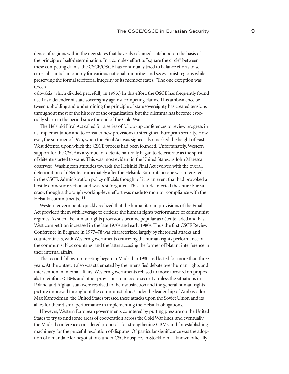dence of regions within the new states that have also claimed statehood on the basis of the principle of self-determination. In a complex effort to "square the circle" between these competing claims, the CSCE/OSCE has continually tried to balance efforts to secure substantial autonomy for various national minorities and secessionist regions while preserving the formal territorial integrity of its member states. (The one exception was Czech-

oslovakia, which divided peacefully in 1993.) In this effort, the OSCE has frequently found itself as a defender of state sovereignty against competing claims. This ambivalence between upholding and undermining the principle of state sovereignty has created tensions throughout most of the history of the organization, but the dilemma has become especially sharp in the period since the end of the Cold War.

The Helsinki Final Act called for a series of follow-up conferences to review progress in its implementation and to consider new provisions to strengthen European security. However, the summer of 1975, when the Final Act was signed, also marked the height of East-West détente, upon which the CSCE process had been founded. Unfortunately, Western support for the CSCE as a symbol of détente naturally began to deteriorate as the spirit of détente started to wane. This was most evident in the United States, as John Maresca observes: "Washington attitudes towards the Helsinki Final Act evolved with the overall deterioration of détente. Immediately after the Helsinki Summit, no one was interested in the CSCE. Administration policy officials thought of it as an event that had provoked a hostile domestic reaction and was best forgotten. This attitude infected the entire bureaucracy, though a thorough working-level effort was made to monitor compliance with the Helsinki commitments."11

Western governments quickly realized that the humanitarian provisions of the Final Act provided them with leverage to criticize the human rights performance of communist regimes. As such, the human rights provisions became popular as détente faded and East-West competition increased in the late 1970s and early 1980s. Thus the first CSCE Review Conference in Belgrade in 1977–78 was characterized largely by rhetorical attacks and counterattacks, with Western governments criticizing the human rights performance of the communist bloc countries, and the latter accusing the former of blatant interference in their internal affairs.

The second follow-on meeting began in Madrid in 1980 and lasted for more than three years. At the outset, it also was stalemated by the intensified debate over human rights and intervention in internal affairs. Western governments refused to move forward on proposals to reinforce CBMs and other provisions to increase security unless the situations in Poland and Afghanistan were resolved to their satisfaction and the general human rights picture improved throughout the communist bloc. Under the leadership of Ambassador Max Kampelman, the United States pressed these attacks upon the Soviet Union and its allies for their dismal performance in implementing the Helsinki obligations.

However, Western European governments countered by putting pressure on the United States to try to find some areas of cooperation across the Cold War lines, and eventually the Madrid conference considered proposals for strengthening CBMs and for establishing machinery for the peaceful resolution of disputes. Of particular significance was the adoption of a mandate for negotiations under CSCE auspices in Stockholm—known officially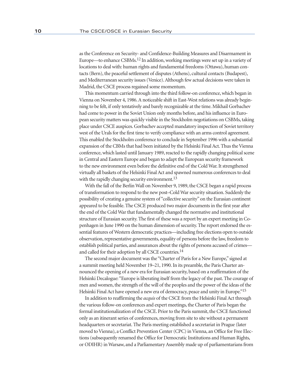as the Conference on Security- and Confidence-Building Measures and Disarmament in Europe—to enhance CSBMs.12 In addition, working meetings were set up in a variety of locations to deal with: human rights and fundamental freedoms (Ottawa), human contacts (Bern), the peaceful settlement of disputes (Athens), cultural contacts (Budapest), and Mediterranean security issues (Venice). Although few actual decisions were taken in Madrid, the CSCE process regained some momentum.

This momentum carried through into the third follow-on conference, which began in Vienna on November 4, 1986. A noticeable shift in East-West relations was already beginning to be felt, if only tentatively and barely recognizable at the time. Mikhail Gorbachev had come to power in the Soviet Union only months before, and his influence in European security matters was quickly visible in the Stockholm negotiations on CSBMs, taking place under CSCE auspices. Gorbachev accepted mandatory inspection of Soviet territory west of the Urals for the first time to verify compliance with an arms control agreement. This enabled the Stockholm conference to conclude in September 1996 with a substantial expansion of the CBMs that had been initiated by the Helsinki Final Act. Thus the Vienna conference, which lasted until January 1989, reacted to the rapidly changing political scene in Central and Eastern Europe and began to adapt the European security framework to the new environment even before the definitive end of the Cold War. It strengthened virtually all baskets of the Helsinki Final Act and spawned numerous conferences to deal with the rapidly changing security environment.<sup>13</sup>

With the fall of the Berlin Wall on November 9, 1989, the CSCE began a rapid process of transformation to respond to the new post–Cold War security situation. Suddenly the possibility of creating a genuine system of "collective security" on the Eurasian continent appeared to be feasible. The CSCE produced two major documents in the first year after the end of the Cold War that fundamentally changed the normative and institutional structure of Eurasian security. The first of these was a report by an expert meeting in Copenhagen in June 1990 on the human dimension of security. The report endorsed the essential features of Western democratic practices—including free elections open to outside observation, representative governments, equality of persons before the law, freedom to establish political parties, and assurances about the rights of persons accused of crimes and called for their adoption by all CSCE countries.14

The second major document was the "Charter of Paris for a New Europe," signed at a summit meeting held November 19–21, 1990. In its preamble, the Paris Charter announced the opening of a new era for Eurasian security, based on a reaffirmation of the Helsinki Decalogue: "Europe is liberating itself from the legacy of the past. The courage of men and women, the strength of the will of the peoples and the power of the ideas of the Helsinki Final Act have opened a new era of democracy, peace and unity in Europe."15

In addition to reaffirming the *acquis* of the CSCE from the Helsinki Final Act through the various follow-on conferences and expert meetings, the Charter of Paris began the formal institutionalization of the CSCE. Prior to the Paris summit, the CSCE functioned only as an itinerant series of conferences, moving from site to site without a permanent headquarters or secretariat. The Paris meeting established a secretariat in Prague (later moved to Vienna), a Conflict Prevention Center (CPC) in Vienna, an Office for Free Elections (subsequently renamed the Office for Democratic Institutions and Human Rights, or ODIHR) in Warsaw, and a Parliamentary Assembly made up of parliamentarians from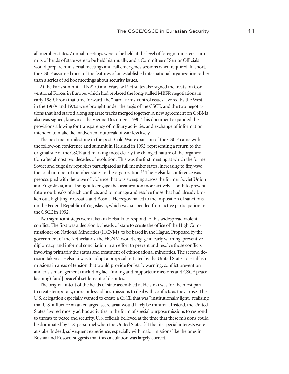all member states. Annual meetings were to be held at the level of foreign ministers, summits of heads of state were to be held biannually, and a Committee of Senior Officials would prepare ministerial meetings and call emergency sessions when required. In short, the CSCE assumed most of the features of an established international organization rather than a series of ad hoc meetings about security issues.

At the Paris summit, all NATO and Warsaw Pact states also signed the treaty on Conventional Forces in Europe, which had replaced the long-stalled MBFR negotiations in early 1989. From that time forward, the "hard" arms-control issues favored by the West in the 1960s and 1970s were brought under the aegis of the CSCE, and the two negotiations that had started along separate tracks merged together. A new agreement on CSBMs also was signed, known as the Vienna Document 1990. This document expanded the provisions allowing for transparency of military activities and exchange of information intended to make the inadvertent outbreak of war less likely.

The next major milestone in the post–Cold War expansion of the CSCE came with the follow-on conference and summit in Helsinki in 1992, representing a return to the original site of the CSCE and marking most clearly the changed nature of the organization after almost two decades of evolution. This was the first meeting at which the former Soviet and Yugoslav republics participated as full member states, increasing to fifty-two the total number of member states in the organization.<sup>16</sup> The Helsinki conference was preoccupied with the wave of violence that was sweeping across the former Soviet Union and Yugoslavia, and it sought to engage the organization more actively—both to prevent future outbreaks of such conflicts and to manage and resolve those that had already broken out. Fighting in Croatia and Bosnia-Herzegovina led to the imposition of sanctions on the Federal Republic of Yugoslavia, which was suspended from active participation in the CSCE in 1992.

Two significant steps were taken in Helsinki to respond to this widespread violent conflict. The first was a decision by heads of state to create the office of the High Commissioner on National Minorities (HCNM), to be based in the Hague. Proposed by the government of the Netherlands, the HCNM would engage in early warning, preventive diplomacy, and informal conciliation in an effort to prevent and resolve those conflicts involving primarily the status and treatment of ethnonational minorities. The second decision taken at Helsinki was to adopt a proposal initiated by the United States to establish missions in areas of tension that would provide for "early warning, conflict prevention and crisis management (including fact-finding and rapporteur missions and CSCE peacekeeping) [and] peaceful settlement of disputes."

The original intent of the heads of state assembled at Helsinki was for the most part to create temporary, more or less ad hoc missions to deal with conflicts as they arose. The U.S. delegation especially wanted to create a CSCE that was "institutionally light," realizing that U.S. influence on an enlarged secretariat would likely be minimal. Instead, the United States favored mostly ad hoc activities in the form of special purpose missions to respond to threats to peace and security. U.S. officials believed at the time that these missions could be dominated by U.S. personnel when the United States felt that its special interests were at stake. Indeed, subsequent experience, especially with major missions like the ones in Bosnia and Kosovo, suggests that this calculation was largely correct.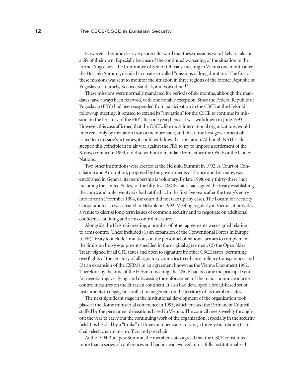However, it became clear very soon afterward that these missions were likely to take on a life of their own. Especially because of the continued worsening of the situation in the former Yugoslavia, the Committee of Senior Officials, meeting in Vienna one month after the Helsinki Summit, decided to create so-called "missions of long duration." The first of these missions was sent to monitor the situation in three regions of the former Republic of Yugoslavia—namely, Kosovo, Sandjak, and Vojvodina.17

These missions were normally mandated for periods of six months, although the mandates have always been renewed, with one notable exception. Since the Federal Republic of Yugoslavia (FRY) had been suspended from participation in the CSCE at the Helsinki follow-up meeting, it refused to extend its "invitation" for the CSCE to continue its mission on the territory of the FRY after one year; hence, it was withdrawn in June 1993. However, this case affirmed that the OSCE, like most international organizations, would intervene only by invitation from a member state, and that if the host government objected to a mission's activities, it could withdraw that invitation. Although NATO sidestepped this principle in its air war against the FRY to try to impose a settlement of the Kosovo conflict in 1999, it did so without a mandate from either the OSCE or the United Nations.

Two other institutions were created at the Helsinki Summit in 1992. A Court of Conciliation and Arbitration, proposed by the governments of France and Germany, was established in Geneva; its membership is voluntary. By late 1998, only thirty-three (not including the United States) of the fifty-five OSCE states had signed the treaty establishing the court, and only twenty-six had ratified it. In the first five years after the treaty's entry into force in December 1994, the court did not take up any cases. The Forum for Security Cooperation also was created in Helsinki in 1992. Meeting regularly in Vienna, it provides a venue to discuss long-term issues of common security and to negotiate on additional confidence-building and arms control measures.

Alongside the Helsinki meeting, a number of other agreements were signed relating to arms control. These included (1) an expansion of the Conventional Forces in Europe (CFE) Treaty to include limitations on the personnel of national armies to complement the limits on heavy equipment specified in the original agreement; (2) the Open Skies Treaty, signed by all CFE states and open to signature by other CSCE states, permitting overflights of the territory of all signatory countries to enhance military transparency; and (3) an expansion of the CSBMs in an agreement known as the Vienna Document 1992. Therefore, by the time of the Helsinki meeting, the CSCE had become the principal venue for negotiating, verifying, and discussing the enforcement of the major nonnuclear arms control measures on the Eurasian continent. It also had developed a broad-based set of instruments to engage in conflict management on the territory of its member states.

The next significant stage in the institutional development of the organization took place at the Rome ministerial conference in 1993, which created the Permanent Council, staffed by the permanent delegations based in Vienna. The council meets weekly throughout the year to carry out the continuing work of the organization, especially in the security field. It is headed by a "troika" of three member states serving a three-year, rotating term as chair-elect, chairman-in-office, and past chair.

At the 1994 Budapest Summit, the member states agreed that the CSCE constituted more than a series of conferences and had instead evolved into a fully institutionalized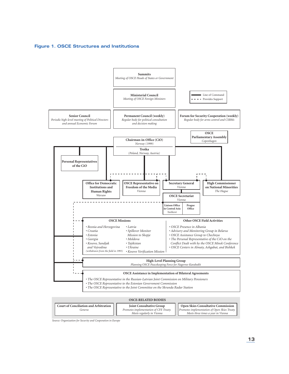**Figure 1. OSCE Structures and Institutions**



*Source: Organization for Security and Cooperation in Europe*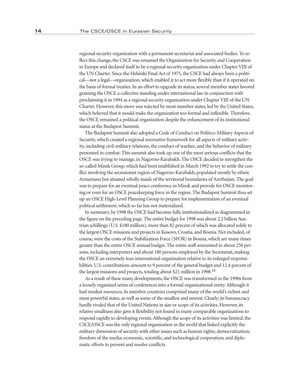regional security organization with a permanent secretariat and associated bodies. To reflect this change, the CSCE was renamed the Organization for Security and Cooperation in Europe and declared itself to be a regional security organization under Chapter VIII of the UN Charter. Since the Helsinki Final Act of 1975, the CSCE had always been a political—not a legal—organization, which enabled it to act more flexibly than if it operated on the basis of formal treaties. In an effort to upgrade its status, several member states favored granting the OSCE a collective standing under international law in conjunction with proclaiming it in 1994 as a regional security organization under Chapter VIII of the UN Charter. However, this move was rejected by most member states, led by the United States, which believed that it would make the organization too formal and inflexible. Therefore, the OSCE remained a political organization despite the enhancement of its institutional status at the Budapest Summit.

The Budapest Summit also adopted a Code of Conduct on Politico-Military Aspects of Security, which created a regional normative framework for all aspects of military activity, including civil-military relations, the conduct of warfare, and the behavior of military personnel in combat. This summit also took up one of the most serious conflicts that the OSCE was trying to manage, in Nagorno-Karabakh. The OSCE decided to strengthen the so-called Minsk Group, which had been established in March 1992 to try to settle the conflict involving the secessionist region of Nagorno-Karabakh, populated mostly by ethnic Armenians but situated wholly inside of the territorial boundaries of Azerbaijan. The goal was to prepare for an eventual peace conference in Minsk and provide for OSCE monitoring or even for an OSCE peacekeeping force in the region. The Budapest Summit thus set up an OSCE High-Level Planning Group to prepare for implementation of an eventual political settlement, which so far has not materialized.

In summary, by 1998 the OSCE had become fully institutionalized as diagrammed in the figure on the preceding page. The entire budget for 1998 was about 2.2 billion Austrian schillings (U.S. \$180 million), more than 82 percent of which was allocated solely to the largest OSCE missions and projects in Kosovo, Croatia, and Bosnia. Not included, of course, were the costs of the Stabilization Force (SFOR) in Bosnia, which are many times greater than the entire OSCE annual budget. The entire staff amounted to about 250 persons, including interpreters and about 180 persons employed by the Secretariat, making the OSCE an extremely lean international organization relative to its enlarged responsibilities. U.S. contributions amount to 9 percent of the general budget and 12.4 percent of the largest missions and projects, totaling about \$21 million in 1998.18

As a result of these many developments, the OSCE was transformed in the 1990s from a loosely organized series of conferences into a formal organizational entity. Although it had modest resources, its member countries comprised many of the world's richest and most powerful states, as well as some of the smallest and newest. Clearly, its bureaucracy hardly rivaled that of the United Nations in size or scope of its activities. However, its relative smallness also gave it flexibility not found in many comparable organizations to respond rapidly to developing events. Although the scope of its activities was limited, the CSCE/OSCE was the only regional organization in the world that linked explicitly the military dimension of security with other issues such as human rights; democratization; freedom of the media; economic, scientific, and technological cooperation; and diplomatic efforts to prevent and resolve conflicts.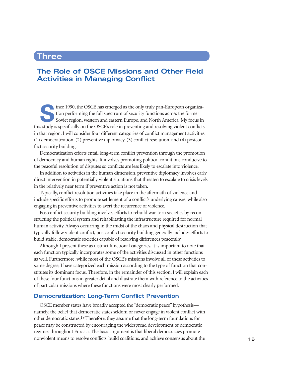# **Three**

### **The Role of OSCE Missions and Other Field Activities in Managing Conflict**

ince 1990, the OSCE has emerged as the only truly pan-European organiza-<br>tion performing the full spectrum of security functions across the former<br>Soviet region, western and eastern Europe, and North America. My focus in tion performing the full spectrum of security functions across the former Soviet region, western and eastern Europe, and North America. My focus in this study is specifically on the OSCE's role in preventing and resolving violent conflicts in that region. I will consider four different categories of conflict management activities: (1) democratization, (2) preventive diplomacy, (3) conflict resolution, and (4) postconflict security building.

Democratization efforts entail long-term conflict prevention through the promotion of democracy and human rights. It involves promoting political conditions conducive to the peaceful resolution of disputes so conflicts are less likely to escalate into violence.

In addition to activities in the human dimension, preventive diplomacy involves early direct intervention in potentially violent situations that threaten to escalate to crisis levels in the relatively near term if preventive action is not taken.

Typically, conflict resolution activities take place in the aftermath of violence and include specific efforts to promote settlement of a conflict's underlying causes, while also engaging in preventive activities to avert the recurrence of violence.

Postconflict security building involves efforts to rebuild war-torn societies by reconstructing the political system and rehabilitating the infrastructure required for normal human activity. Always occurring in the midst of the chaos and physical destruction that typically follow violent conflict, postconflict security building generally includes efforts to build stable, democratic societies capable of resolving differences peacefully.

Although I present these as distinct functional categories, it is important to note that each function typically incorporates some of the activities discussed in other functions as well. Furthermore, while most of the OSCE's missions involve all of these activities to some degree, I have categorized each mission according to the type of function that constitutes its dominant focus. Therefore, in the remainder of this section, I will explain each of these four functions in greater detail and illustrate them with reference to the activities of particular missions where these functions were most clearly performed.

### **Democratization: Long-Term Conflict Prevention**

OSCE member states have broadly accepted the "democratic peace" hypothesis namely, the belief that democratic states seldom or never engage in violent conflict with other democratic states.19 Therefore, they assume that the long-term foundations for peace may be constructed by encouraging the widespread development of democratic regimes throughout Eurasia. The basic argument is that liberal democracies promote nonviolent means to resolve conflicts, build coalitions, and achieve consensus about the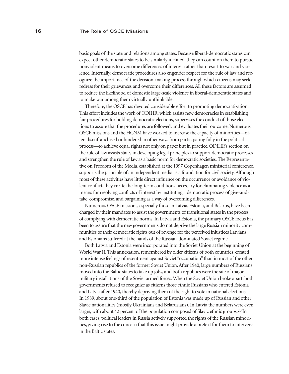basic goals of the state and relations among states. Because liberal-democratic states can expect other democratic states to be similarly inclined, they can count on them to pursue nonviolent means to overcome differences of interest rather than resort to war and violence. Internally, democratic procedures also engender respect for the rule of law and recognize the importance of the decision-making process through which citizens may seek redress for their grievances and overcome their differences. All these factors are assumed to reduce the likelihood of domestic large-scale violence in liberal-democratic states and to make war among them virtually unthinkable.

Therefore, the OSCE has devoted considerable effort to promoting democratization. This effort includes the work of ODIHR, which assists new democracies in establishing fair procedures for holding democratic elections, supervises the conduct of those elections to assure that the procedures are followed, and evaluates their outcome. Numerous OSCE missions and the HCNM have worked to increase the capacity of minorities—often disenfranchised or hindered in other ways from participating fully in the political process—to achieve equal rights not only on paper but in practice. ODIHR's section on the rule of law assists states in developing legal principles to support democratic processes and strengthen the rule of law as a basic norm for democratic societies. The Representative on Freedom of the Media, established at the 1997 Copenhagen ministerial conference, supports the principle of an independent media as a foundation for civil society. Although most of these activities have little direct influence on the occurrence or avoidance of violent conflict, they create the long-term conditions necessary for eliminating violence as a means for resolving conflicts of interest by instituting a democratic process of give-andtake, compromise, and bargaining as a way of overcoming differences.

Numerous OSCE missions, especially those in Latvia, Estonia, and Belarus, have been charged by their mandates to assist the governments of transitional states in the process of complying with democratic norms. In Latvia and Estonia, the primary OSCE focus has been to assure that the new governments do not deprive the large Russian minority communities of their democratic rights out of revenge for the perceived injustices Latvians and Estonians suffered at the hands of the Russian-dominated Soviet regime.

Both Latvia and Estonia were incorporated into the Soviet Union at the beginning of World War II. This annexation, remembered by older citizens of both countries, created more intense feelings of resentment against Soviet "occupation" than in most of the other non-Russian republics of the former Soviet Union. After 1940, large numbers of Russians moved into the Baltic states to take up jobs, and both republics were the site of major military installations of the Soviet armed forces. When the Soviet Union broke apart, both governments refused to recognize as citizens those ethnic Russians who entered Estonia and Latvia after 1940, thereby depriving them of the right to vote in national elections. In 1989, about one-third of the population of Estonia was made up of Russian and other Slavic nationalities (mostly Ukrainians and Belarusians). In Latvia the numbers were even larger, with about 42 percent of the population composed of Slavic ethnic groups.<sup>20</sup> In both cases, political leaders in Russia actively supported the rights of the Russian minorities, giving rise to the concern that this issue might provide a pretext for them to intervene in the Baltic states.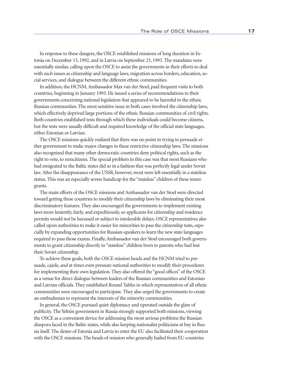In response to these dangers, the OSCE established missions of long duration in Estonia on December 13, 1992, and in Latvia on September 23, 1993. The mandates were essentially similar, calling upon the OSCE to assist the governments in their efforts to deal with such issues as citizenship and language laws, migration across borders, education, social services, and dialogue between the different ethnic communities.

In addition, the HCNM, Ambassador Max van der Stoel, paid frequent visits to both countries, beginning in January 1993. He issued a series of recommendations to their governments concerning national legislation that appeared to be harmful to the ethnic Russian communities. The most sensitive issue in both cases involved the citizenship laws, which effectively deprived large portions of the ethnic Russian communities of civil rights. Both countries established tests through which these individuals could become citizens, but the tests were usually difficult and required knowledge of the official state languages, either Estonian or Latvian.

The OSCE missions quickly realized that there was no point in trying to persuade either government to make major changes in these restrictive citizenship laws. The missions also recognized that many other democratic countries deny political rights, such as the right to vote, to noncitizens. The special problem in this case was that most Russians who had emigrated to the Baltic states did so in a fashion that was perfectly legal under Soviet law. After the disappearance of the USSR, however, most were left essentially in a stateless status. This was an especially severe handicap for the "stateless" children of these immigrants.

The main efforts of the OSCE missions and Ambassador van der Stoel were directed toward getting these countries to modify their citizenship laws by eliminating their most discriminatory features. They also encouraged the governments to implement existing laws more leniently, fairly, and expeditiously, so applicants for citizenship and residence permits would not be harassed or subject to intolerable delays. OSCE representatives also called upon authorities to make it easier for minorities to pass the citizenship tests, especially by expanding opportunities for Russian-speakers to learn the new state languages required to pass those exams. Finally, Ambassador van der Stoel encouraged both governments to grant citizenship directly to "stateless" children born to parents who had lost their Soviet citizenship.

To achieve these goals, both the OSCE mission heads and the HCNM tried to persuade, cajole, and at times even pressure national authorities to modify their procedures for implementing their own legislation. They also offered the "good offices" of the OSCE as a venue for direct dialogue between leaders of the Russian communities and Estonian and Latvian officials. They established Round Tables in which representatives of all ethnic communities were encouraged to participate. They also urged the governments to create an ombudsman to represent the interests of the minority communities.

In general, the OSCE pursued quiet diplomacy and operated outside the glare of publicity. The Yeltsin government in Russia strongly supported both missions, viewing the OSCE as a convenient device for addressing the most serious problems the Russian diaspora faced in the Baltic states, while also keeping nationalist politicians at bay in Russia itself. The desire of Estonia and Latvia to enter the EU also facilitated their cooperation with the OSCE missions. The heads of mission who generally hailed from EU countries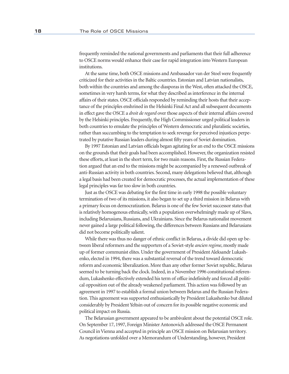frequently reminded the national governments and parliaments that their full adherence to OSCE norms would enhance their case for rapid integration into Western European institutions.

At the same time, both OSCE missions and Ambassador van der Stoel were frequently criticized for their activities in the Baltic countries. Estonian and Latvian nationalists, both within the countries and among the diasporas in the West, often attacked the OSCE, sometimes in very harsh terms, for what they described as interference in the internal affairs of their states. OSCE officials responded by reminding their hosts that their acceptance of the principles enshrined in the Helsinki Final Act and all subsequent documents in effect gave the OSCE a *droit de regard* over those aspects of their internal affairs covered by the Helsinki principles. Frequently, the High Commissioner urged political leaders in both countries to emulate the principles of Western democratic and pluralistic societies, rather than succumbing to the temptation to seek revenge for perceived injustices perpetrated by putative Russian leaders during almost fifty years of Soviet domination.

By 1997 Estonian and Latvian officials began agitating for an end to the OSCE missions on the grounds that their goals had been accomplished. However, the organization resisted these efforts, at least in the short term, for two main reasons. First, the Russian Federation argued that an end to the missions might be accompanied by a renewed outbreak of anti-Russian activity in both countries. Second, many delegations believed that, although a legal basis had been created for democratic processes, the actual implementation of these legal principles was far too slow in both countries.

Just as the OSCE was debating for the first time in early 1998 the possible voluntary termination of two of its missions, it also began to set up a third mission in Belarus with a primary focus on democratization. Belarus is one of the few Soviet successor states that is relatively homogenous ethnically, with a population overwhelmingly made up of Slavs, including Belarusians, Russians, and Ukrainians. Since the Belarus nationalist movement never gained a large political following, the differences between Russians and Belarusians did not become politically salient.

While there was thus no danger of ethnic conflict in Belarus, a divide did open up between liberal reformers and the supporters of a Soviet-style *ancien regime*, mostly made up of former communist elites. Under the government of President Aleksandr Lukashenko, elected in 1994, there was a substantial reversal of the trend toward democratic reform and economic liberalization. More than any other former Soviet republic, Belarus seemed to be turning back the clock. Indeed, in a November 1996 constitutional referendum, Lukashenko effectively extended his term of office indefinitely and forced all political opposition out of the already weakened parliament. This action was followed by an agreement in 1997 to establish a formal union between Belarus and the Russian Federation. This agreement was supported enthusiastically by President Lukashenko but diluted considerably by President Yeltsin out of concern for its possible negative economic and political impact on Russia.

The Belarusian government appeared to be ambivalent about the potential OSCE role. On September 17, 1997, Foreign Minister Antonovich addressed the OSCE Permanent Council in Vienna and accepted in principle an OSCE mission on Belarusian territory. As negotiations unfolded over a Memorandum of Understanding, however, President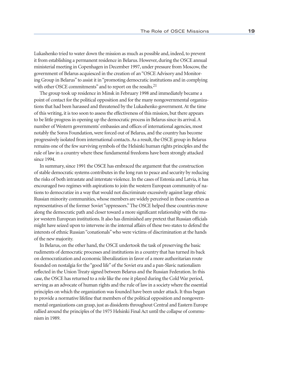Lukashenko tried to water down the mission as much as possible and, indeed, to prevent it from establishing a permanent residence in Belarus. However, during the OSCE annual ministerial meeting in Copenhagen in December 1997, under pressure from Moscow, the government of Belarus acquiesced in the creation of an "OSCE Advisory and Monitoring Group in Belarus" to assist it in "promoting democratic institutions and in complying with other OSCE commitments" and to report on the results.<sup>21</sup>

The group took up residence in Minsk in February 1998 and immediately became a point of contact for the political opposition and for the many nongovernmental organizations that had been harassed and threatened by the Lukashenko government. At the time of this writing, it is too soon to assess the effectiveness of this mission, but there appears to be little progress in opening up the democratic process in Belarus since its arrival. A number of Western governments' embassies and offices of international agencies, most notably the Soros Foundation, were forced out of Belarus, and the country has become progressively isolated from international contacts. As a result, the OSCE group in Belarus remains one of the few surviving symbols of the Helsinki human rights principles and the rule of law in a country where these fundamental freedoms have been strongly attacked since 1994.

In summary, since 1991 the OSCE has embraced the argument that the construction of stable democratic systems contributes in the long run to peace and security by reducing the risks of both intrastate and interstate violence. In the cases of Estonia and Latvia, it has encouraged two regimes with aspirations to join the western European community of nations to democratize in a way that would not discriminate excessively against large ethnic Russian minority communities, whose members are widely perceived in these countries as representatives of the former Soviet "oppressors." The OSCE helped these countries move along the democratic path and closer toward a more significant relationship with the major western European institutions. It also has diminished any pretext that Russian officials might have seized upon to intervene in the internal affairs of these two states to defend the interests of ethnic Russian "conationals" who were victims of discrimination at the hands of the new majority.

In Belarus, on the other hand, the OSCE undertook the task of preserving the basic rudiments of democratic processes and institutions in a country that has turned its back on democratization and economic liberalization in favor of a more authoritarian route founded on nostalgia for the "good life" of the Soviet era and a pan-Slavic nationalism reflected in the Union Treaty signed between Belarus and the Russian Federation. In this case, the OSCE has returned to a role like the one it played during the Cold War period, serving as an advocate of human rights and the rule of law in a society where the essential principles on which the organization was founded have been under attack. It thus began to provide a normative lifeline that members of the political opposition and nongovernmental organizations can grasp, just as dissidents throughout Central and Eastern Europe rallied around the principles of the 1975 Helsinki Final Act until the collapse of communism in 1989.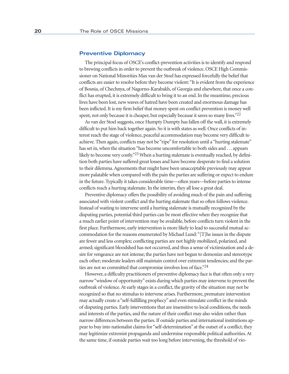#### **Preventive Diplomacy**

The principal focus of OSCE's conflict-prevention activities is to identify and respond to brewing conflicts in order to prevent the outbreak of violence. OSCE High Commissioner on National Minorities Max van der Stoel has expressed forcefully the belief that conflicts are easier to resolve before they become violent: "It is evident from the experience of Bosnia, of Chechnya, of Nagorno-Karabakh, of Georgia and elsewhere, that once a conflict has erupted, it is extremely difficult to bring it to an end. In the meantime, precious lives have been lost, new waves of hatred have been created and enormous damage has been inflicted. It is my firm belief that money spent on conflict prevention is money well spent, not only because it is cheaper, but especially because it saves so many lives."<sup>22</sup>

As van der Stoel suggests, once Humpty Dumpty has fallen off the wall, it is extremely difficult to put him back together again. So it is with states as well. Once conflicts of interest reach the stage of violence, peaceful accommodation may become very difficult to achieve. Then again, conflicts may not be "ripe" for resolution until a "hurting stalemate" has set in, when the situation "has become uncomfortable to both sides and . . . appears likely to become very costly.<sup>223</sup> When a hurting stalemate is eventually reached, by definition both parties have suffered great losses and have become desperate to find a solution to their dilemma. Agreements that might have been unacceptable previously may appear more palatable when compared with the pain the parties are suffering or expect to endure in the future. Typically it takes considerable time—often years—before parties to intense conflicts reach a hurting stalemate. In the interim, they all lose a great deal.

Preventive diplomacy offers the possibility of avoiding much of the pain and suffering associated with violent conflict and the hurting stalemate that so often follows violence. Instead of waiting to intervene until a hurting stalemate is mutually recognized by the disputing parties, potential third parties can be most effective when they recognize that a much earlier point of intervention may be available, before conflicts turn violent in the first place. Furthermore, early intervention is more likely to lead to successful mutual accommodation for the reasons enumerated by Michael Lund: "[T]he issues in the dispute are fewer and less complex; conflicting parties are not highly mobilized, polarized, and armed; significant bloodshed has not occurred, and thus a sense of victimization and a desire for vengeance are not intense; the parties have not begun to demonize and stereotype each other; moderate leaders still maintain control over extremist tendencies; and the parties are not so committed that compromise involves loss of face."24

However, a difficulty practitioners of preventive diplomacy face is that often only a very narrow "window of opportunity" exists during which parties may intervene to prevent the outbreak of violence. At early stages in a conflict, the gravity of the situation may not be recognized so that no stimulus to intervene arises. Furthermore, premature intervention may actually create a "self-fulfilling prophecy" and even stimulate conflict in the minds of disputing parties. Early interventions that are insensitive to local conditions, the needs and interests of the parties, and the nature of their conflict may also widen rather than narrow differences between the parties. If outside parties and international institutions appear to buy into nationalist claims for "self-determination" at the outset of a conflict, they may legitimize extremist propaganda and undermine responsible political authorities. At the same time, if outside parties wait too long before intervening, the threshold of vio-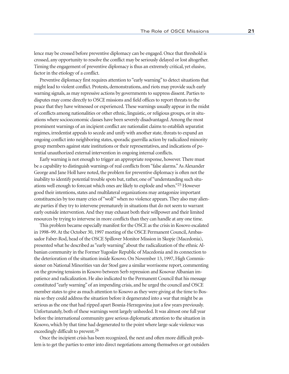lence may be crossed before preventive diplomacy can be engaged. Once that threshold is crossed, any opportunity to resolve the conflict may be seriously delayed or lost altogether. Timing the engagement of preventive diplomacy is thus an extremely critical, yet elusive, factor in the etiology of a conflict.

Preventive diplomacy first requires attention to "early warning" to detect situations that might lead to violent conflict. Protests, demonstrations, and riots may provide such early warning signals, as may repressive actions by governments to suppress dissent. Parties to disputes may come directly to OSCE missions and field offices to report threats to the peace that they have witnessed or experienced. These warnings usually appear in the midst of conflicts among nationalities or other ethnic, linguistic, or religious groups, or in situations where socioeconomic classes have been severely disadvantaged. Among the most prominent warnings of an incipient conflict are nationalist claims to establish separatist regimes, irredentist appeals to secede and unify with another state, threats to expand an ongoing conflict into neighboring states, sporadic guerrilla action by radicalized minority group members against state institutions or their representatives, and indications of potential unauthorized external intervention in ongoing internal conflicts.

Early warning is not enough to trigger an appropriate response, however. There must be a capability to distinguish warnings of real conflicts from "false alarms." As Alexander George and Jane Holl have noted, the problem for preventive diplomacy is often not the inability to identify potential trouble spots but, rather, one of "understanding such situations well enough to forecast which ones are likely to explode and when."25 However good their intentions, states and multilateral organizations may antagonize important constituencies by too many cries of "wolf" when no violence appears. They also may alienate parties if they try to intervene prematurely in situations that do not seem to warrant early outside intervention. And they may exhaust both their willpower and their limited resources by trying to intervene in more conflicts than they can handle at any one time.

This problem became especially manifest for the OSCE as the crisis in Kosovo escalated in 1998–99. At the October 30, 1997 meeting of the OSCE Permanent Council, Ambassador Faber-Rod, head of the OSCE Spillover Monitor Mission in Skopje (Macedonia), presented what he described as "early warning" about the radicalization of the ethnic Albanian community in the Former Yugoslav Republic of Macedonia and its connection to the deterioration of the situation inside Kosovo. On November 13, 1997, High Commissioner on National Minorities van der Stoel gave a similar worrisome report, commenting on the growing tensions in Kosovo between Serb repression and Kosovar Albanian impatience and radicalization. He also indicated to the Permanent Council that his message constituted "early warning" of an impending crisis, and he urged the council and OSCE member states to give as much attention to Kosovo as they were giving at the time to Bosnia so they could address the situation before it degenerated into a war that might be as serious as the one that had ripped apart Bosnia-Herzegovina just a few years previously. Unfortunately, both of these warnings went largely unheeded. It was almost one full year before the international community gave serious diplomatic attention to the situation in Kosovo, which by that time had degenerated to the point where large-scale violence was exceedingly difficult to prevent.<sup>26</sup>

Once the incipient crisis has been recognized, the next and often more difficult problem is to get the parties to enter into direct negotiations among themselves or get outsiders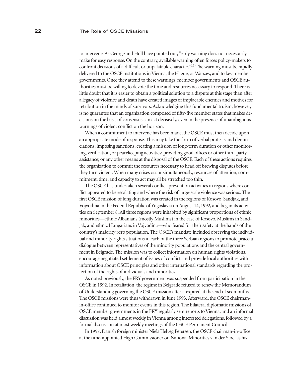to intervene. As George and Holl have pointed out, "early warning does not necessarily make for easy response. On the contrary, available warning often forces policy-makers to confront decisions of a difficult or unpalatable character."27 The warning must be rapidly delivered to the OSCE institutions in Vienna, the Hague, or Warsaw, and to key member governments. Once they attend to these warnings, member governments and OSCE authorities must be willing to devote the time and resources necessary to respond. There is little doubt that it is easier to obtain a political solution to a dispute at this stage than after a legacy of violence and death have created images of implacable enemies and motives for retribution in the minds of survivors. Acknowledging this fundamental truism, however, is no guarantee that an organization composed of fifty-five member states that makes decisions on the basis of consensus can act decisively, even in the presence of unambiguous warnings of violent conflict on the horizon.

When a commitment to intervene has been made, the OSCE must then decide upon an appropriate mode of response. This may take the form of verbal protests and denunciations; imposing sanctions; creating a mission of long-term duration or other monitoring, verification, or peacekeeping activities; providing good offices or other third-party assistance; or any other means at the disposal of the OSCE. Each of these actions requires the organization to commit the resources necessary to head off brewing disputes before they turn violent. When many crises occur simultaneously, resources of attention, commitment, time, and capacity to act may all be stretched too thin.

The OSCE has undertaken several conflict-prevention activities in regions where conflict appeared to be escalating and where the risk of large-scale violence was serious. The first OSCE mission of long duration was created in the regions of Kosovo, Sandjak, and Vojvodina in the Federal Republic of Yugoslavia on August 14, 1992, and began its activities on September 8. All three regions were inhabited by significant proportions of ethnic minorities—ethnic Albanians (mostly Muslims) in the case of Kosovo, Muslims in Sandjak, and ethnic Hungarians in Vojvodina—who feared for their safety at the hands of the country's majority Serb population. The OSCE's mandate included observing the individual and minority rights situations in each of the three Serbian regions to promote peaceful dialogue between representatives of the minority populations and the central government in Belgrade. The mission was to collect information on human rights violations, encourage negotiated settlement of issues of conflict, and provide local authorities with information about OSCE principles and other international standards regarding the protection of the rights of individuals and minorities.

As noted previously, the FRY government was suspended from participation in the OSCE in 1992. In retaliation, the regime in Belgrade refused to renew the Memorandum of Understanding governing the OSCE mission after it expired at the end of six months. The OSCE missions were thus withdrawn in June 1993. Afterward, the OSCE chairmanin-office continued to monitor events in this region. The bilateral diplomatic missions of OSCE member governments in the FRY regularly sent reports to Vienna, and an informal discussion was held almost weekly in Vienna among interested delegations, followed by a formal discussion at most weekly meetings of the OSCE Permanent Council.

In 1997, Danish foreign minister Niels Helveg Petersen, the OSCE chairman-in-office at the time, appointed High Commissioner on National Minorities van der Stoel as his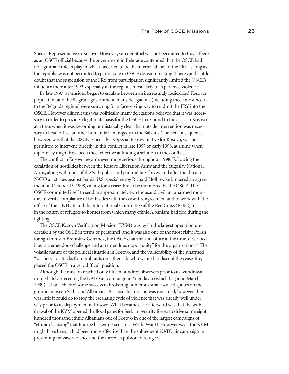Special Representative in Kosovo. However, van der Stoel was not permitted to travel there as an OSCE official because the government in Belgrade contended that the OSCE had no legitimate role to play in what it asserted to be the internal affairs of the FRY as long as the republic was not permitted to participate in OSCE decision making. There can be little doubt that the suspension of the FRY from participation significantly limited the OSCE's influence there after 1992, especially in the regions most likely to experience violence.

By late 1997, as tensions began to escalate between an increasingly radicalized Kosovar population and the Belgrade government, many delegations (including those most hostile to the Belgrade regime) were searching for a face-saving way to readmit the FRY into the OSCE. However difficult this was politically, many delegations believed that it was necessary in order to provide a legitimate basis for the OSCE to respond to the crisis in Kosovo at a time when it was becoming unmistakably clear that outside intervention was necessary to head off yet another humanitarian tragedy in the Balkans. The net consequence, however, was that the OSCE, especially its Special Representative for Kosovo, was not permitted to intervene directly in this conflict in late 1997 or early 1998, at a time when diplomacy might have been most effective at finding a solution to the conflict.

The conflict in Kosovo became even more serious throughout 1998. Following the escalation of hostilities between the Kosovo Liberation Army and the Yugoslav National Army, along with units of the Serb police and paramilitary forces, and after the threat of NATO air strikes against Serbia, U.S. special envoy Richard Holbrooke brokered an agreement on October 13, 1998, calling for a cease-fire to be monitored by the OSCE. The OSCE committed itself to send in approximately two thousand civilian, unarmed monitors to verify compliance of both sides with the cease-fire agreement and to work with the office of the UNHCR and the International Committee of the Red Cross (ICRC) to assist in the return of refugees to homes from which many ethnic Albanians had fled during the fighting.

The OSCE Kosovo Verification Mission (KVM) was by far the largest operation undertaken by the OSCE in terms of personnel, and it was also one of the most risky. Polish foreign minister Bronislaw Geremek, the OSCE chairman-in-office at the time, described it as "a tremendous challenge and a tremendous opportunity" for the organization.28 The volatile nature of the political situation in Kosovo, and the vulnerability of the unarmed "verifiers" to attacks from militants on either side who wanted to disrupt the cease-fire, placed the OSCE in a very difficult position.

Although the mission reached only fifteen hundred observers prior to its withdrawal immediately preceding the NATO air campaign in Yugoslavia (which began in March 1999), it had achieved some success in brokering numerous small-scale disputes on the ground between Serbs and Albanians. Because the mission was unarmed, however, there was little it could do to stop the escalating cycle of violence that was already well under way prior to its deployment in Kosovo. What became clear afterward was that the withdrawal of the KVM opened the flood gates for Serbian security forces to drive some eight hundred thousand ethnic Albanians out of Kosovo in one of the largest campaigns of "ethnic cleansing" that Europe has witnessed since World War II. However weak the KVM might have been, it had been more effective than the subsequent NATO air campaign in preventing massive violence and the forced expulsion of refugees.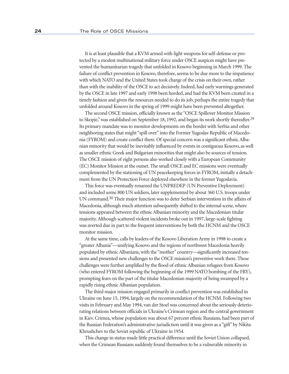It is at least plausible that a KVM armed with light weapons for self-defense or protected by a modest multinational military force under OSCE auspices might have prevented the humanitarian tragedy that unfolded in Kosovo beginning in March 1999. The failure of conflict prevention in Kosovo, therefore, seems to be due more to the impatience with which NATO and the United States took charge of the crisis on their own, rather than with the inability of the OSCE to act decisively. Indeed, had early warnings generated by the OSCE in late 1997 and early 1998 been heeded, and had the KVM been created in a timely fashion and given the resources needed to do its job, perhaps the entire tragedy that unfolded around Kosovo in the spring of 1999 might have been prevented altogether.

The second OSCE mission, officially known as the "OSCE Spillover Monitor Mission to Skopje," was established on September 18, 1992, and began its work shortly thereafter.<sup>29</sup> Its primary mandate was to monitor developments on the border with Serbia and other neighboring states that might "spill over" into the Former Yugoslav Republic of Macedonia (FYROM) and create conflict there. Of special concern was a significant ethnic Albanian minority that would be inevitably influenced by events in contiguous Kosovo, as well as smaller ethnic Greek and Bulgarian minorities that might also be sources of tension. The OSCE mission of eight persons also worked closely with a European Community (EC) Monitor Mission at the outset. The small OSCE and EC missions were eventually complemented by the stationing of UN peacekeeping forces in FYROM, initially a detachment from the UN Protection Force deployed elsewhere in the former Yugoslavia.

This force was eventually renamed the UNPREDEP (UN Preventive Deployment) and included some 800 UN soldiers, later supplemented by about 360 U.S. troops under UN command.30 Their major function was to deter Serbian intervention in the affairs of Macedonia, although much attention subsequently shifted to the internal scene, where tensions appeared between the ethnic Albanian minority and the Macedonian titular majority. Although scattered violent incidents broke out in 1997, large-scale fighting was averted due in part to the frequent interventions by both the HCNM and the OSCE monitor mission.

At the same time, calls by leaders of the Kosovo Liberation Army in 1998 to create a "greater Albania"—unifying Kosovo and the regions of northwest Macedonia heavily populated by ethnic Albanians, with the "mother" country—significantly increased tensions and presented new challenges to the OSCE mission's preventive work there. These challenges were further amplified by the flood of ethnic Albanian refugees from Kosovo (who entered FYROM following the beginning of the 1999 NATO bombing of the FRY), prompting fears on the part of the titular Macedonian majority of being swamped by a rapidly rising ethnic Albanian population.

The third major mission engaged primarily in conflict prevention was established in Ukraine on June 15, 1994, largely on the recommendation of the HCNM. Following two visits in February and May 1994, van der Stoel was concerned about the seriously deteriorating relations between officials in Ukraine's Crimean region and the central government in Kiev. Crimea, whose population was about 67 percent ethnic Russians, had been part of the Russian Federation's administrative jurisdiction until it was given as a "gift" by Nikita Khrushchev to the Soviet republic of Ukraine in 1954.

This change in status made little practical difference until the Soviet Union collapsed, when the Crimean Russians suddenly found themselves to be a vulnerable minority in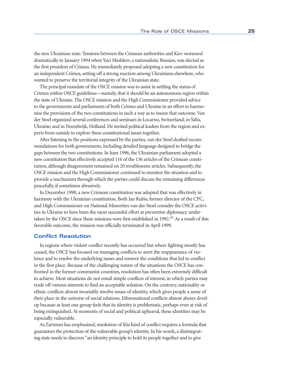the new Ukrainian state. Tensions between the Crimean authorities and Kiev worsened dramatically in January 1994 when Yuri Meshkov, a nationalistic Russian, was elected as the first president of Crimea. He immediately proposed adopting a new constitution for an independent Crimea, setting off a strong reaction among Ukrainians elsewhere, who wanted to preserve the territorial integrity of the Ukrainian state.

The principal mandate of the OSCE mission was to assist in settling the status of Crimea within OSCE guidelines—namely, that it should be an autonomous region within the state of Ukraine. The OSCE mission and the High Commissioner provided advice to the governments and parliaments of both Crimea and Ukraine in an effort to harmonize the provisions of the two constitutions in such a way as to insure that outcome. Van der Stoel organized several conferences and seminars in Locarno, Switzerland; in Yalta, Ukraine; and in Noordwijk, Holland. He invited political leaders from the region and experts from outside to explore these constitutional issues together.

After listening to the positions expressed by the parties, van der Stoel drafted recommendations for both governments, including detailed language designed to bridge the gaps between the two constitutions. In June 1996, the Ukrainian parliament adopted a new constitution that effectively accepted 116 of the 136 articles of the Crimean constitution, although disagreement remained on 20 troublesome articles. Subsequently, the OSCE mission and the High Commissioner continued to monitor the situation and to provide a mechanism through which the parties could discuss the remaining differences peacefully, if sometimes abrasively.

In December 1998, a new Crimean constitution was adopted that was effectively in harmony with the Ukrainian constitution. Both Jan Kubis, former director of the CPC, and High Commissioner on National Minorities van der Stoel consider the OSCE activities in Ukraine to have been the most successful effort at preventive diplomacy undertaken by the OSCE since these missions were first established in 1992.<sup>31</sup> As a result of this favorable outcome, the mission was officially terminated in April 1999.

## **Conflict Resolution**

In regions where violent conflict recently has occurred but where fighting mostly has ceased, the OSCE has focused on managing conflicts to avert the reappearance of violence and to resolve the underlying issues and remove the conditions that led to conflict in the first place. Because of the challenging nature of the situations the OSCE has confronted in the former communist countries, resolution has often been extremely difficult to achieve. Most situations do not entail simple conflicts of interest, in which parties may trade off various interests to find an acceptable solution. On the contrary, nationality or ethnic conflicts almost invariably involve issues of identity, which gives people a sense of their place in the universe of social relations. Ethnonational conflicts almost always develop because at least one group feels that its identity is problematic, perhaps even at risk of being extinguished. At moments of social and political upheaval, these identities may be especially vulnerable.

As Zartman has emphasized, resolution of this kind of conflict requires a formula that guarantees the protection of the vulnerable group's identity. In his words, a disintegrating state needs to discover "an identity principle to hold its people together and to give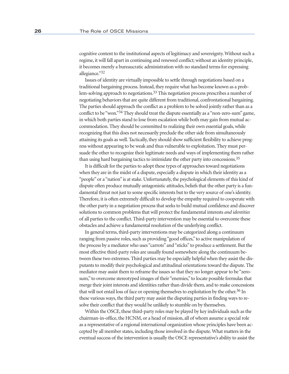cognitive content to the institutional aspects of legitimacy and sovereignty. Without such a regime, it will fall apart in continuing and renewed conflict; without an identity principle, it becomes merely a bureaucratic administration with no standard terms for expressing allegiance."32

Issues of identity are virtually impossible to settle through negotiations based on a traditional bargaining process. Instead, they require what has become known as a problem-solving approach to negotiations.33 This negotiation process prescribes a number of negotiating behaviors that are quite different from traditional, confrontational bargaining. The parties should approach the conflict as a problem to be solved jointly rather than as a conflict to be "won."34 They should treat the dispute essentially as a "non-zero-sum" game, in which both parties stand to lose from escalation while both may gain from mutual accommodation. They should be committed to realizing their own essential goals, while recognizing that this does not necessarily preclude the other side from simultaneously attaining its goals as well. Tactically, they should show sufficient flexibility to achieve progress without appearing to be weak and thus vulnerable to exploitation. They must persuade the other to recognize their legitimate needs and ways of implementing them rather than using hard bargaining tactics to intimidate the other party into concessions.<sup>35</sup>

It is difficult for the parties to adopt these types of approaches toward negotiations when they are in the midst of a dispute, especially a dispute in which their identity as a "people" or a "nation" is at stake. Unfortunately, the psychological elements of this kind of dispute often produce mutually antagonistic attitudes, beliefs that the other party is a fundamental threat not just to some specific interests but to the very source of one's identity. Therefore, it is often extremely difficult to develop the empathy required to cooperate with the other party in a negotiation process that seeks to build mutual confidence and discover solutions to common problems that will protect the fundamental interests *and identities* of all parties to the conflict. Third-party intervention may be essential to overcome these obstacles and achieve a fundamental resolution of the underlying conflict.

In general terms, third-party interventions may be categorized along a continuum ranging from passive roles, such as providing "good offices," to active manipulation of the process by a mediator who uses "carrots" and "sticks" to produce a settlement. But the most effective third-party roles are usually found somewhere along the continuum between these two extremes. Third parties may be especially helpful when they assist the disputants to modify their psychological and attitudinal orientations toward the dispute. The mediator may assist them to reframe the issues so that they no longer appear to be "zerosum," to overcome stereotyped images of their "enemies," to locate possible formulas that merge their joint interests and identities rather than divide them, and to make concessions that will not entail loss of face or opening themselves to exploitation by the other.36 In these various ways, the third party may assist the disputing parties in finding ways to resolve their conflict that they would be unlikely to stumble on by themselves.

Within the OSCE, these third-party roles may be played by key individuals such as the chairman-in-office, the HCNM, or a head of mission, all of whom assume a special role as a representative of a regional international organization whose principles have been accepted by all member states, including those involved in the dispute. What matters in the eventual success of the intervention is usually the OSCE representative's ability to assist the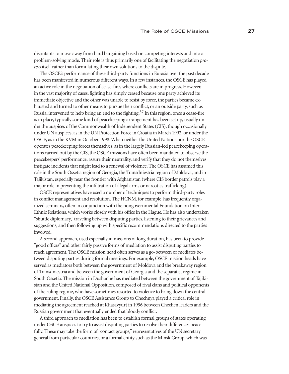disputants to move away from hard bargaining based on competing interests and into a problem-solving mode. Their role is thus primarily one of facilitating the negotiation *process* itself rather than formulating their own solutions to the dispute.

The OSCE's performance of these third-party functions in Eurasia over the past decade has been manifested in numerous different ways. In a few instances, the OSCE has played an active role in the negotiation of cease-fires where conflicts are in progress. However, in the vast majority of cases, fighting has simply ceased because one party achieved its immediate objective and the other was unable to resist by force, the parties became exhausted and turned to other means to pursue their conflict, or an outside party, such as Russia, intervened to help bring an end to the fighting.37 In this region, once a cease-fire is in place, typically some kind of peacekeeping arrangement has been set up, usually under the auspices of the Commonwealth of Independent States (CIS), though occasionally under UN auspices, as in the UN Protection Force in Croatia in March 1992, or under the OSCE, as in the KVM in October 1998. When neither the United Nations nor the OSCE operates peacekeeping forces themselves, as in the largely Russian-led peacekeeping operations carried out by the CIS, the OSCE missions have often been mandated to observe the peacekeepers' performance, assure their neutrality, and verify that they do not themselves instigate incidents that might lead to a renewal of violence. The OSCE has assumed this role in the South Ossetia region of Georgia, the Transdniestria region of Moldova, and in Tajikistan, especially near the frontier with Afghanistan (where CIS border patrols play a major role in preventing the infiltration of illegal arms or narcotics trafficking).

OSCE representatives have used a number of techniques to perform third-party roles in conflict management and resolution. The HCNM, for example, has frequently organized seminars, often in conjunction with the nongovernmental Foundation on Inter-Ethnic Relations, which works closely with his office in the Hague. He has also undertaken "shuttle diplomacy," traveling between disputing parties, listening to their grievances and suggestions, and then following up with specific recommendations directed to the parties involved.

A second approach, used especially in missions of long duration, has been to provide "good offices" and other fairly passive forms of mediation to assist disputing parties to reach agreement. The OSCE mission head often serves as a go-between or mediates between disputing parties during formal meetings. For example, OSCE mission heads have served as mediators both between the government of Moldova and the breakaway region of Transdniestria and between the government of Georgia and the separatist regime in South Ossetia. The mission in Dushanbe has mediated between the government of Tajikistan and the United National Opposition, composed of rival clans and political opponents of the ruling regime, who have sometimes resorted to violence to bring down the central government. Finally, the OSCE Assistance Group to Chechnya played a critical role in mediating the agreement reached at Khasavyurt in 1996 between Chechen leaders and the Russian government that eventually ended that bloody conflict.

A third approach to mediation has been to establish formal groups of states operating under OSCE auspices to try to assist disputing parties to resolve their differences peacefully. These may take the form of "contact groups," representatives of the UN secretary general from particular countries, or a formal entity such as the Minsk Group, which was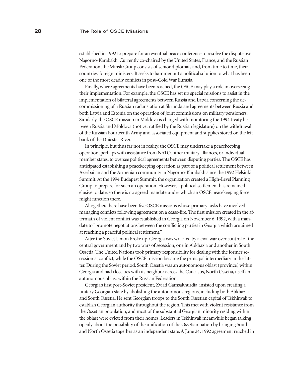established in 1992 to prepare for an eventual peace conference to resolve the dispute over Nagorno-Karabakh. Currently co-chaired by the United States, France, and the Russian Federation, the Minsk Group consists of senior diplomats and, from time to time, their countries' foreign ministers. It seeks to hammer out a political solution to what has been one of the most deadly conflicts in post–Cold War Eurasia.

Finally, where agreements have been reached, the OSCE may play a role in overseeing their implementation. For example, the OSCE has set up special missions to assist in the implementation of bilateral agreements between Russia and Latvia concerning the decommissioning of a Russian radar station at Skrunda and agreements between Russia and both Latvia and Estonia on the operation of joint commissions on military pensioners. Similarly, the OSCE mission in Moldova is charged with monitoring the 1994 treaty between Russia and Moldova (not yet ratified by the Russian legislature) on the withdrawal of the Russian Fourteenth Army and associated equipment and supplies stored on the left bank of the Dniester River.

In principle, but thus far not in reality, the OSCE may undertake a peacekeeping operation, perhaps with assistance from NATO, other military alliances, or individual member states, to oversee political agreements between disputing parties. The OSCE has anticipated establishing a peacekeeping operation as part of a political settlement between Azerbaijan and the Armenian community in Nagorno-Karabakh since the 1992 Helsinki Summit. At the 1994 Budapest Summit, the organization created a High-Level Planning Group to prepare for such an operation. However, a political settlement has remained elusive to date, so there is no agreed mandate under which an OSCE peacekeeping force might function there.

Altogether, there have been five OSCE missions whose primary tasks have involved managing conflicts following agreement on a cease-fire. The first mission created in the aftermath of violent conflict was established in Georgia on November 6, 1992, with a mandate to "promote negotiations between the conflicting parties in Georgia which are aimed at reaching a peaceful political settlement."

After the Soviet Union broke up, Georgia was wracked by a civil war over control of the central government and by two wars of secession, one in Abkhazia and another in South Ossetia. The United Nations took primary responsibility for dealing with the former secessionist conflict, while the OSCE mission became the principal intermediary in the latter. During the Soviet period, South Ossetia was an autonomous oblast (province) within Georgia and had close ties with its neighbor across the Caucasus, North Ossetia, itself an autonomous oblast within the Russian Federation.

Georgia's first post-Soviet president, Zviad Gamsakhurdia, insisted upon creating a unitary Georgian state by abolishing the autonomous regions, including both Abkhazia and South Ossetia. He sent Georgian troops to the South Ossetian capital of Tskhinvali to establish Georgian authority throughout the region. This met with violent resistance from the Ossetian population, and most of the substantial Georgian minority residing within the oblast were evicted from their homes. Leaders in Tskhinvali meanwhile began talking openly about the possibility of the unification of the Ossetian nation by bringing South and North Ossetia together as an independent state. A June 24, 1992 agreement reached in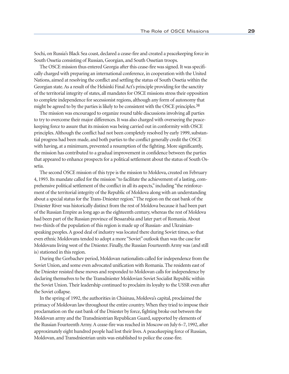Sochi, on Russia's Black Sea coast, declared a cease-fire and created a peacekeeping force in South Ossetia consisting of Russian, Georgian, and South Ossetian troops.

The OSCE mission thus entered Georgia after this cease-fire was signed. It was specifically charged with preparing an international conference, in cooperation with the United Nations, aimed at resolving the conflict and settling the status of South Ossetia within the Georgian state. As a result of the Helsinki Final Act's principle providing for the sanctity of the territorial integrity of states, all mandates for OSCE missions stress their opposition to complete independence for secessionist regions, although any form of autonomy that might be agreed to by the parties is likely to be consistent with the OSCE principles.<sup>38</sup>

The mission was encouraged to organize round table discussions involving all parties to try to overcome their major differences. It was also charged with overseeing the peacekeeping force to assure that its mission was being carried out in conformity with OSCE principles. Although the conflict had not been completely resolved by early 1999, substantial progress had been made, and both parties to the conflict generally credit the OSCE with having, at a minimum, prevented a resumption of the fighting. More significantly, the mission has contributed to a gradual improvement in confidence between the parties that appeared to enhance prospects for a political settlement about the status of South Ossetia.

The second OSCE mission of this type is the mission to Moldova, created on February 4, 1993. Its mandate called for the mission "to facilitate the achievement of a lasting, comprehensive political settlement of the conflict in all its aspects," including "the reinforcement of the territorial integrity of the Republic of Moldova along with an understanding about a special status for the Trans-Dniester region." The region on the east bank of the Dniester River was historically distinct from the rest of Moldova because it had been part of the Russian Empire as long ago as the eighteenth century, whereas the rest of Moldova had been part of the Russian province of Bessarabia and later part of Romania. About two-thirds of the population of this region is made up of Russian- and Ukrainianspeaking peoples. A good deal of industry was located there during Soviet times, so that even ethnic Moldovans tended to adopt a more "Soviet" outlook than was the case for Moldovans living west of the Dniester. Finally, the Russian Fourteenth Army was (and still is) stationed in this region.

During the Gorbachev period, Moldovan nationalists called for independence from the Soviet Union, and some even advocated unification with Romania. The residents east of the Dniester resisted these moves and responded to Moldovan calls for independence by declaring themselves to be the Transdniester Moldovian Soviet Socialist Republic within the Soviet Union. Their leadership continued to proclaim its loyalty to the USSR even after the Soviet collapse.

In the spring of 1992, the authorities in Chisinau, Moldova's capital, proclaimed the primacy of Moldovan law throughout the entire country. When they tried to impose their proclamation on the east bank of the Dniester by force, fighting broke out between the Moldovan army and the Transdniestrian Republican Guard, supported by elements of the Russian Fourteenth Army. A cease-fire was reached in Moscow on July 6–7, 1992, after approximately eight hundred people had lost their lives. A peacekeeping force of Russian, Moldovan, and Transdniestrian units was established to police the cease-fire.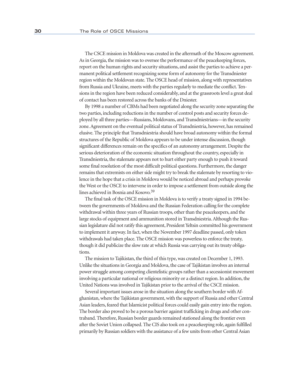The CSCE mission in Moldova was created in the aftermath of the Moscow agreement. As in Georgia, the mission was to oversee the performance of the peacekeeping forces, report on the human rights and security situations, and assist the parties to achieve a permanent political settlement recognizing some form of autonomy for the Transdniester region within the Moldovan state. The OSCE head of mission, along with representatives from Russia and Ukraine, meets with the parties regularly to mediate the conflict. Tensions in the region have been reduced considerably, and at the grassroots level a great deal of contact has been restored across the banks of the Dniester.

By 1998 a number of CBMs had been negotiated along the security zone separating the two parties, including reductions in the number of control posts and security forces deployed by all three parties—Russians, Moldovans, and Transdniestrians—in the security zone. Agreement on the eventual political status of Transdniestria, however, has remained elusive. The principle that Transdniestria should have broad autonomy within the formal structures of the Republic of Moldova appears to be under intense discussion, though significant differences remain on the specifics of an autonomy arrangement. Despite the serious deterioration of the economic situation throughout the country, especially in Transdniestria, the stalemate appears not to hurt either party enough to push it toward some final resolution of the most difficult political questions. Furthermore, the danger remains that extremists on either side might try to break the stalemate by resorting to violence in the hope that a crisis in Moldova would be noticed abroad and perhaps provoke the West or the OSCE to intervene in order to impose a settlement from outside along the lines achieved in Bosnia and Kosovo.39

The final task of the OSCE mission in Moldova is to verify a treaty signed in 1994 between the governments of Moldova and the Russian Federation calling for the complete withdrawal within three years of Russian troops, other than the peacekeepers, and the large stocks of equipment and ammunition stored in Transdniestria. Although the Russian legislature did not ratify this agreement, President Yeltsin committed his government to implement it anyway. In fact, when the November 1997 deadline passed, only token withdrawals had taken place. The OSCE mission was powerless to enforce the treaty, though it did publicize the slow rate at which Russia was carrying out its treaty obligations.

The mission to Tajikistan, the third of this type, was created on December 1, 1993. Unlike the situations in Georgia and Moldova, the case of Tajikistan involves an internal power struggle among competing clientelistic groups rather than a secessionist movement involving a particular national or religious minority or a distinct region. In addition, the United Nations was involved in Tajikistan prior to the arrival of the CSCE mission.

Several important issues arose in the situation along the southern border with Afghanistan, where the Tajikistan government, with the support of Russia and other Central Asian leaders, feared that Islamicist political forces could easily gain entry into the region. The border also proved to be a porous barrier against trafficking in drugs and other contraband. Therefore, Russian border guards remained stationed along the frontier even after the Soviet Union collapsed. The CIS also took on a peacekeeping role, again fulfilled primarily by Russian soldiers with the assistance of a few units from other Central Asian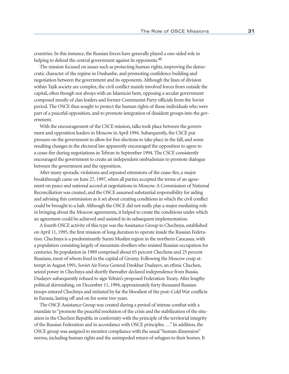countries. In this instance, the Russian forces have generally played a one-sided role in helping to defend the central government against its opponents.<sup>40</sup>

The mission focused on issues such as protecting human rights, improving the democratic character of the regime in Dushanbe, and promoting confidence building and negotiation between the government and its opponents. Although the lines of division within Tajik society are complex, the civil conflict mainly involved forces from outside the capital, often though not always with an Islamicist bent, opposing a secular government composed mostly of clan leaders and former Communist Party officials from the Soviet period. The OSCE thus sought to protect the human rights of those individuals who were part of a peaceful opposition, and to promote integration of dissident groups into the government.

With the encouragement of the CSCE mission, talks took place between the government and opposition leaders in Moscow in April 1994. Subsequently, the CSCE put pressure on the government to allow for free elections to take place in the fall, and some resulting changes in the electoral law apparently encouraged the opposition to agree to a cease-fire during negotiations in Tehran in September 1994. The CSCE consistently encouraged the government to create an independent ombudsman to promote dialogue between the government and the opposition.

After many sporadic violations and repeated extensions of the cease-fire, a major breakthrough came on June 27, 1997, when all parties accepted the terms of an agreement on peace and national accord at negotiations in Moscow. A Commission of National Reconciliation was created, and the OSCE assumed substantial responsibility for aiding and advising this commission as it set about creating conditions in which the civil conflict could be brought to a halt. Although the OSCE did not really play a major mediating role in bringing about the Moscow agreements, it helped to create the conditions under which an agreement could be achieved and assisted in its subsequent implementation.

A fourth OSCE activity of this type was the Assistance Group to Chechnya, established on April 11, 1995, the first mission of long duration to operate inside the Russian Federation. Chechnya is a predominantly Sunni Muslim region in the northern Caucasus, with a population consisting largely of mountain-dwellers who resisted Russian occupation for centuries. Its population in 1989 comprised about 65 percent Chechens and 25 percent Russians, most of whom lived in the capital of Grozny. Following the Moscow coup attempt in August 1991, Soviet Air Force General Dzokhar Dudayev, an ethnic Chechen, seized power in Chechnya and shortly thereafter declared independence from Russia. Dudayev subsequently refused to sign Yeltsin's proposed Federation Treaty. After lengthy political skirmishing, on December 11, 1994, approximately forty thousand Russian troops entered Chechnya and initiated by far the bloodiest of the post–Cold War conflicts in Eurasia, lasting off and on for some two years.

The OSCE Assistance Group was created during a period of intense combat with a mandate to "promote the peaceful resolution of the crisis and the stabilization of the situation in the Chechen Republic in conformity with the principle of the territorial integrity of the Russian Federation and in accordance with OSCE principles. . . ." In addition, the OSCE group was assigned to monitor compliance with the usual "human dimension" norms, including human rights and the unimpeded return of refugees to their homes. It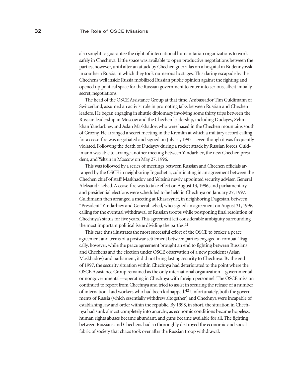also sought to guarantee the right of international humanitarian organizations to work safely in Chechnya. Little space was available to open productive negotiations between the parties, however, until after an attack by Chechen guerrillas on a hospital in Budennyovsk in southern Russia, in which they took numerous hostages. This daring escapade by the Chechens well inside Russia mobilized Russian public opinion against the fighting and opened up political space for the Russian government to enter into serious, albeit initially secret, negotiations.

The head of the OSCE Assistance Group at that time, Ambassador Tim Guldimann of Switzerland, assumed an activist role in promoting talks between Russian and Chechen leaders. He began engaging in shuttle diplomacy involving some thirty trips between the Russian leadership in Moscow and the Chechen leadership, including Dudayev, Zelimkhan Yandarbiev, and Aslan Maskhadov, who were based in the Chechen mountains south of Grozny. He arranged a secret meeting in the Kremlin at which a military accord calling for a cease-fire was negotiated and signed on July 31, 1995—even though it was frequently violated. Following the death of Dudayev during a rocket attack by Russian forces, Guldimann was able to arrange another meeting between Yandarbiev, the new Chechen president, and Yeltsin in Moscow on May 27, 1996.

This was followed by a series of meetings between Russian and Chechen officials arranged by the OSCE in neighboring Ingushetia, culminating in an agreement between the Chechen chief of staff Maskhadov and Yeltsin's newly appointed security adviser, General Aleksandr Lebed. A cease-fire was to take effect on August 13, 1996, and parliamentary and presidential elections were scheduled to be held in Chechnya on January 27, 1997. Guldimann then arranged a meeting at Khasavyurt, in neighboring Dagestan, between "President" Yandarbiev and General Lebed, who signed an agreement on August 31, 1996, calling for the eventual withdrawal of Russian troops while postponing final resolution of Chechnya's status for five years. This agreement left considerable ambiguity surrounding the most important political issue dividing the parties. $41$ 

This case thus illustrates the most successful effort of the OSCE to broker a peace agreement and terms of a postwar settlement between parties engaged in combat. Tragically, however, while the peace agreement brought an end to fighting between Russians and Chechens and the election under OSCE observation of a new president (Aslan Maskhadov) and parliament, it did not bring lasting security to Chechnya. By the end of 1997, the security situation within Chechnya had deteriorated to the point where the OSCE Assistance Group remained as the only international organization—governmental or nongovernmental—operating in Chechnya with foreign personnel. The OSCE mission continued to report from Chechnya and tried to assist in securing the release of a number of international aid workers who had been kidnapped.42 Unfortunately, both the governments of Russia (which essentially withdrew altogether) and Chechnya were incapable of establishing law and order within the republic. By 1998, in short, the situation in Chechnya had sunk almost completely into anarchy, as economic conditions became hopeless, human rights abuses became abundant, and guns became available for all. The fighting between Russians and Chechens had so thoroughly destroyed the economic and social fabric of society that chaos took over after the Russian troop withdrawal.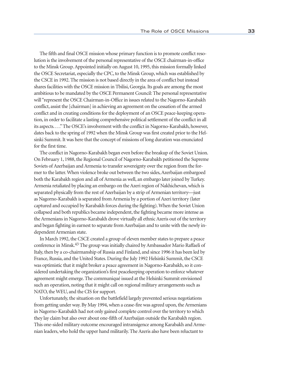The fifth and final OSCE mission whose primary function is to promote conflict resolution is the involvement of the personal representative of the OSCE chairman-in-office to the Minsk Group. Appointed initially on August 10, 1995, this mission formally linked the OSCE Secretariat, especially the CPC, to the Minsk Group, which was established by the CSCE in 1992. The mission is not based directly in the area of conflict but instead shares facilities with the OSCE mission in Tbilisi, Georgia. Its goals are among the most ambitious to be mandated by the OSCE Permanent Council: The personal representative will "represent the OSCE Chairman-in-Office in issues related to the Nagorno-Karabakh conflict, assist the [chairman] in achieving an agreement on the cessation of the armed conflict and in creating conditions for the deployment of an OSCE peace-keeping operation, in order to facilitate a lasting comprehensive political settlement of the conflict in all its aspects. . . ." The OSCE's involvement with the conflict in Nagorno-Karabakh, however, dates back to the spring of 1992 when the Minsk Group was first created prior to the Helsinki Summit. It was here that the concept of missions of long duration was enunciated for the first time.

The conflict in Nagorno-Karabakh began even before the breakup of the Soviet Union. On February 1, 1988, the Regional Council of Nagorno-Karabakh petitioned the Supreme Soviets of Azerbaijan and Armenia to transfer sovereignty over the region from the former to the latter. When violence broke out between the two sides, Azerbaijan embargoed both the Karabakh region and all of Armenia as well, an embargo later joined by Turkey. Armenia retaliated by placing an embargo on the Azeri region of Nakhichevan, which is separated physically from the rest of Azerbaijan by a strip of Armenian territory—just as Nagorno-Karabakh is separated from Armenia by a portion of Azeri territory (later captured and occupied by Karabakh forces during the fighting). When the Soviet Union collapsed and both republics became independent, the fighting became more intense as the Armenians in Nagorno-Karabakh drove virtually all ethnic Azeris out of the territory and began fighting in earnest to separate from Azerbaijan and to unite with the newly independent Armenian state.

In March 1992, the CSCE created a group of eleven member states to prepare a peace conference in Minsk.43 The group was initially chaired by Ambassador Mario Raffaeli of Italy, then by a co-chairmanship of Russia and Finland, and since 1996 it has been led by France, Russia, and the United States. During the July 1992 Helsinki Summit, the CSCE was optimistic that it might broker a peace agreement in Nagorno-Karabakh, so it considered undertaking the organization's first peacekeeping operation to enforce whatever agreement might emerge. The communiqué issued at the Helsinki Summit envisioned such an operation, noting that it might call on regional military arrangements such as NATO, the WEU, and the CIS for support.

Unfortunately, the situation on the battlefield largely prevented serious negotiations from getting under way. By May 1994, when a cease-fire was agreed upon, the Armenians in Nagorno-Karabakh had not only gained complete control over the territory to which they lay claim but also over about one-fifth of Azerbaijan outside the Karabakh region. This one-sided military outcome encouraged intransigence among Karabakh and Armenian leaders, who hold the upper hand militarily. The Azeris also have been reluctant to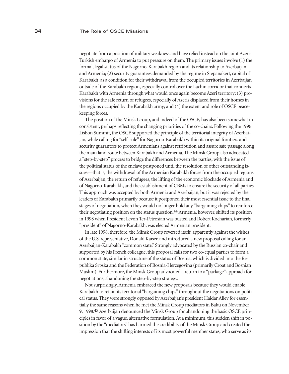negotiate from a position of military weakness and have relied instead on the joint Azeri-Turkish embargo of Armenia to put pressure on them. The primary issues involve (1) the formal, legal status of the Nagorno-Karabakh region and its relationship to Azerbaijan and Armenia; (2) security guarantees demanded by the regime in Stepanakert, capital of Karabakh, as a condition for their withdrawal from the occupied territories in Azerbaijan outside of the Karabakh region, especially control over the Lachin corridor that connects Karabakh with Armenia through what would once again become Azeri territory; (3) provisions for the safe return of refugees, especially of Azeris displaced from their homes in the regions occupied by the Karabakh army; and (4) the extent and role of OSCE peacekeeping forces.

The position of the Minsk Group, and indeed of the OSCE, has also been somewhat inconsistent, perhaps reflecting the changing priorities of the co-chairs. Following the 1996 Lisbon Summit, the OSCE supported the principle of the territorial integrity of Azerbaijan, while calling for "self-rule" for Nagorno-Karabakh within its original frontiers and security guarantees to protect Armenians against retribution and assure safe passage along the main land route between Karabakh and Armenia. The Minsk Group also advocated a "step-by-step" process to bridge the differences between the parties, with the issue of the political status of the enclave postponed until the resolution of other outstanding issues—that is, the withdrawal of the Armenian Karabakh forces from the occupied regions of Azerbaijan, the return of refugees, the lifting of the economic blockade of Armenia and of Nagorno-Karabakh, and the establishment of CBMs to ensure the security of all parties. This approach was accepted by both Armenia and Azerbaijan, but it was rejected by the leaders of Karabakh primarily because it postponed their most essential issue to the final stages of negotiation, when they would no longer hold any "bargaining chips" to reinforce their negotiating position on the status question.<sup>44</sup> Armenia, however, shifted its position in 1998 when President Levon Ter-Petrosian was ousted and Robert Kocharian, formerly "president" of Nagorno-Karabakh, was elected Armenian president.

In late 1998, therefore, the Minsk Group reversed itself, apparently against the wishes of the U.S. representative, Donald Kaiser, and introduced a new proposal calling for an Azerbaijan-Karabakh "common state." Strongly advocated by the Russian co-chair and supported by his French colleague, this proposal calls for two co-equal parties to form a common state, similar in structure of the status of Bosnia, which is divided into the Republika Srpska and the Federation of Bosnia-Herzegovina (primarily Croat and Bosnian Muslim). Furthermore, the Minsk Group advocated a return to a "package" approach for negotiations, abandoning the step-by-step strategy.

Not surprisingly, Armenia embraced the new proposals because they would enable Karabakh to retain its territorial "bargaining chips" throughout the negotiations on political status. They were strongly opposed by Azerbaijan's president Haidar Aliev for essentially the same reasons when he met the Minsk Group mediators in Baku on November 9, 1998.45 Azerbaijan denounced the Minsk Group for abandoning the basic OSCE principles in favor of a vague, alternative formulation. At a minimum, this sudden shift in position by the "mediators" has harmed the credibility of the Minsk Group and created the impression that the shifting interests of its most powerful member states, who serve as its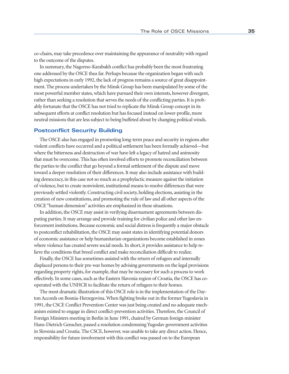co-chairs, may take precedence over maintaining the appearance of neutrality with regard to the outcome of the disputes.

In summary, the Nagorno-Karabakh conflict has probably been the most frustrating one addressed by the OSCE thus far. Perhaps because the organization began with such high expectations in early 1992, the lack of progress remains a source of great disappointment. The process undertaken by the Minsk Group has been manipulated by some of the most powerful member states, which have pursued their own interests, however divergent, rather than seeking a resolution that serves the needs of the conflicting parties. It is probably fortunate that the OSCE has not tried to replicate the Minsk Group concept in its subsequent efforts at conflict resolution but has focused instead on lower-profile, more neutral missions that are less subject to being buffeted about by changing political winds.

### **Postconflict Security Building**

The OSCE also has engaged in promoting long-term peace and security in regions after violent conflicts have occurred and a political settlement has been formally achieved—but where the bitterness and destruction of war have left a legacy of hatred and animosity that must be overcome. This has often involved efforts to promote reconciliation between the parties to the conflict that go beyond a formal settlement of the dispute and move toward a deeper resolution of their differences. It may also include assistance with building democracy, in this case not so much as a prophylactic measure against the initiation of violence, but to create nonviolent, institutional means to resolve differences that were previously settled violently. Constructing civil society, holding elections, assisting in the creation of new constitutions, and promoting the rule of law and all other aspects of the OSCE "human dimension" activities are emphasized in these situations.

In addition, the OSCE may assist in verifying disarmament agreements between disputing parties. It may arrange and provide training for civilian police and other law enforcement institutions. Because economic and social distress is frequently a major obstacle to postconflict rehabilitation, the OSCE may assist states in identifying potential donors of economic assistance or help humanitarian organizations become established in zones where violence has created severe social needs. In short, it provides assistance to help relieve the conditions that breed conflict and make reconciliation difficult to realize.

Finally, the OSCE has sometimes assisted with the return of refugees and internally displaced persons to their pre-war homes by advising governments on the legal provisions regarding property rights, for example, that may be necessary for such a process to work effectively. In some cases, such as the Eastern Slavonia region of Croatia, the OSCE has cooperated with the UNHCR to facilitate the return of refugees to their homes.

The most dramatic illustration of this OSCE role is in the implementation of the Dayton Accords on Bosnia-Herzegovina. When fighting broke out in the former Yugoslavia in 1991, the CSCE Conflict Prevention Center was just being created and no adequate mechanism existed to engage in direct conflict-prevention activities. Therefore, the Council of Foreign Ministers meeting in Berlin in June 1991, chaired by German foreign minister Hans-Dietrich Genscher, passed a resolution condemning Yugoslav government activities in Slovenia and Croatia. The CSCE, however, was unable to take any direct action. Hence, responsibility for future involvement with this conflict was passed on to the European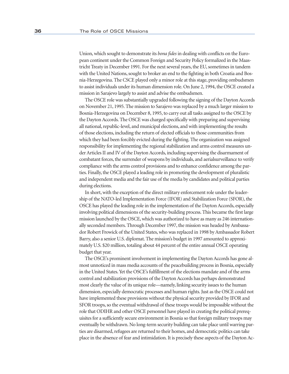Union, which sought to demonstrate its *bona fides* in dealing with conflicts on the European continent under the Common Foreign and Security Policy formalized in the Maastricht Treaty in December 1991. For the next several years, the EU, sometimes in tandem with the United Nations, sought to broker an end to the fighting in both Croatia and Bosnia-Herzegovina. The CSCE played only a minor role at this stage, providing ombudsmen to assist individuals under its human dimension role. On June 2, 1994, the OSCE created a mission in Sarajevo largely to assist and advise the ombudsmen.

The OSCE role was substantially upgraded following the signing of the Dayton Accords on November 21, 1995. The mission to Sarajevo was replaced by a much larger mission to Bosnia-Herzegovina on December 8, 1995, to carry out all tasks assigned to the OSCE by the Dayton Accords. The OSCE was charged specifically with preparing and supervising all national, republic-level, and municipal elections, and with implementing the results of those elections, including the return of elected officials to those communities from which they had been forcibly evicted during the fighting. The organization was assigned responsibility for implementing the regional stabilization and arms control measures under Articles II and IV of the Dayton Accords, including supervising the disarmament of combatant forces, the surrender of weapons by individuals, and aerialsurveillance to verify compliance with the arms control provisions and to enhance confidence among the parties. Finally, the OSCE played a leading role in promoting the development of pluralistic and independent media and the fair use of the media by candidates and political parties during elections.

In short, with the exception of the direct military enforcement role under the leadership of the NATO-led Implementation Force (IFOR) and Stabilization Force (SFOR), the OSCE has played the leading role in the implementation of the Dayton Accords, especially involving political dimensions of the security-building process. This became the first large mission launched by the OSCE, which was authorized to have as many as 246 internationally seconded members. Through December 1997, the mission was headed by Ambassador Robert Frowick of the United States, who was replaced in 1998 by Ambassador Robert Barry, also a senior U.S. diplomat. The mission's budget in 1997 amounted to approximately U.S. \$20 million, totaling about 44 percent of the entire annual OSCE operating budget that year.

The OSCE's prominent involvement in implementing the Dayton Accords has gone almost unnoticed in mass media accounts of the peacebuilding process in Bosnia, especially in the United States. Yet the OSCE's fulfillment of the elections mandate and of the arms control and stabilization provisions of the Dayton Accords has perhaps demonstrated most clearly the value of its unique role—namely, linking security issues to the human dimension, especially democratic processes and human rights. Just as the OSCE could not have implemented these provisions without the physical security provided by IFOR and SFOR troops, so the eventual withdrawal of these troops would be impossible without the role that ODIHR and other OSCE personnel have played in creating the political prerequisites for a sufficiently secure environment in Bosnia so that foreign military troops may eventually be withdrawn. No long-term security building can take place until warring parties are disarmed, refugees are returned to their homes, and democratic politics can take place in the absence of fear and intimidation. It is precisely these aspects of the Dayton Ac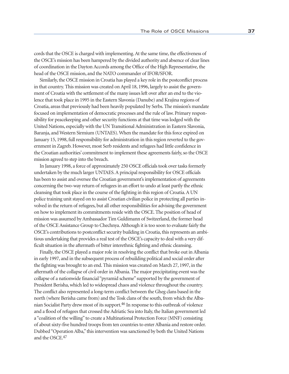cords that the OSCE is charged with implementing. At the same time, the effectiveness of the OSCE's mission has been hampered by the divided authority and absence of clear lines of coordination in the Dayton Accords among the Office of the High Representative, the head of the OSCE mission, and the NATO commander of IFOR/SFOR.

Similarly, the OSCE mission in Croatia has played a key role in the postconflict process in that country. This mission was created on April 18, 1996, largely to assist the government of Croatia with the settlement of the many issues left over after an end to the violence that took place in 1995 in the Eastern Slavonia (Danube) and Krajina regions of Croatia, areas that previously had been heavily populated by Serbs. The mission's mandate focused on implementation of democratic processes and the rule of law. Primary responsibility for peacekeeping and other security functions at that time was lodged with the United Nations, especially with the UN Transitional Administration in Eastern Slavonia, Baranja, and Western Sirmium (UNTAES). When the mandate for this force expired on January 15, 1998, full responsibility for administration in this region reverted to the government in Zagreb. However, most Serb residents and refugees had little confidence in the Croatian authorities' commitment to implement these agreements fairly, so the OSCE mission agreed to step into the breach.

In January 1998, a force of approximately 250 OSCE officials took over tasks formerly undertaken by the much larger UNTAES. A principal responsibility for OSCE officials has been to assist and oversee the Croatian government's implementation of agreements concerning the two-way return of refugees in an effort to undo at least partly the ethnic cleansing that took place in the course of the fighting in this region of Croatia. A UN police training unit stayed on to assist Croatian civilian police in protecting all parties involved in the return of refugees, but all other responsibilities for advising the government on how to implement its commitments reside with the OSCE. The position of head of mission was assumed by Ambassador Tim Guldimann of Switzerland, the former head of the OSCE Assistance Group to Chechnya. Although it is too soon to evaluate fairly the OSCE's contributions to postconflict security building in Croatia, this represents an ambitious undertaking that provides a real test of the OSCE's capacity to deal with a very difficult situation in the aftermath of bitter interethnic fighting and ethnic cleansing.

Finally, the OSCE played a major role in resolving the conflict that broke out in Albania in early 1997, and in the subsequent process of rebuilding political and social order after the fighting was brought to an end. This mission was created on March 27, 1997, in the aftermath of the collapse of civil order in Albania. The major precipitating event was the collapse of a nationwide financial "pyramid scheme" supported by the government of President Berisha, which led to widespread chaos and violence throughout the country. The conflict also represented a long-term conflict between the Gheg clans based in the north (where Berisha came from) and the Tosk clans of the south, from which the Albanian Socialist Party drew most of its support.46 In response to this outbreak of violence and a flood of refugees that crossed the Adriatic Sea into Italy, the Italian government led a "coalition of the willing" to create a Multinational Protection Force (MNF) consisting of about sixty-five hundred troops from ten countries to enter Albania and restore order. Dubbed "Operation Alba," this intervention was sanctioned by both the United Nations and the OSCE.47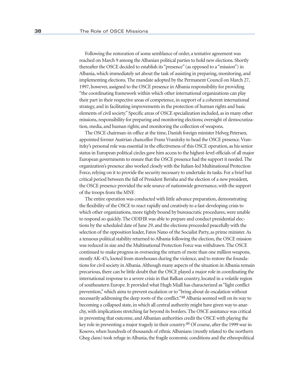Following the restoration of some semblance of order, a tentative agreement was reached on March 9 among the Albanian political parties to hold new elections. Shortly thereafter the OSCE decided to establish its "presence" (as opposed to a "mission") in Albania, which immediately set about the task of assisting in preparing, monitoring, and implementing elections. The mandate adopted by the Permanent Council on March 27, 1997, however, assigned to the OSCE presence in Albania responsibility for providing "the coordinating framework within which other international organizations can play their part in their respective areas of competence, in support of a coherent international strategy, and in facilitating improvements in the protection of human rights and basic elements of civil society." Specific areas of OSCE specialization included, as in many other missions, responsibility for preparing and monitoring elections; oversight of democratization, media, and human rights; and monitoring the collection of weapons.

The OSCE chairman-in-office at the time, Danish foreign minister Helveg Petersen, appointed former Austrian chancellor Franz Vranitzky to head the OSCE presence. Vranitzky's personal role was essential in the effectiveness of this OSCE operation, as his senior status in European political circles gave him access to the highest-level officials of all major European governments to ensure that the OSCE presence had the support it needed. The organization's presence also worked closely with the Italian-led Multinational Protection Force, relying on it to provide the security necessary to undertake its tasks. For a brief but critical period between the fall of President Berisha and the election of a new president, the OSCE presence provided the sole source of nationwide governance, with the support of the troops from the MNF.

The entire operation was conducted with little advance preparation, demonstrating the flexibility of the OSCE to react rapidly and creatively to a fast-developing crisis to which other organizations, more tightly bound by bureaucratic procedures, were unable to respond so quickly. The ODIHR was able to prepare and conduct presidential elections by the scheduled date of June 29, and the elections proceeded peacefully with the selection of the opposition leader, Fatos Nano of the Socialist Party, as prime minister. As a tenuous political stability returned to Albania following the election, the OSCE mission was reduced in size and the Multinational Protection Force was withdrawn. The OSCE continued to make progress in overseeing the return of more than one million weapons, mostly AK-47s, looted from storehouses during the violence, and to restore the foundations for civil society in Albania. Although many aspects of the situation in Albania remain precarious, there can be little doubt that the OSCE played a major role in coordinating the international response to a severe crisis in that Balkan country, located in a volatile region of southeastern Europe. It provided what Hugh Miall has characterized as "light conflict prevention," which aims to prevent escalation or to "bring about de-escalation without necessarily addressing the deep roots of the conflict."48 Albania seemed well on its way to becoming a collapsed state, in which all central authority might have given way to anarchy, with implications stretching far beyond its borders. The OSCE assistance was critical in preventing that outcome, and Albanian authorities credit the OSCE with playing the key role in preventing a major tragedy in their country.49 Of course, after the 1999 war in Kosovo, when hundreds of thousands of ethnic Albanians (mostly related to the northern Gheg clans) took refuge in Albania, the fragile economic conditions and the ethnopolitical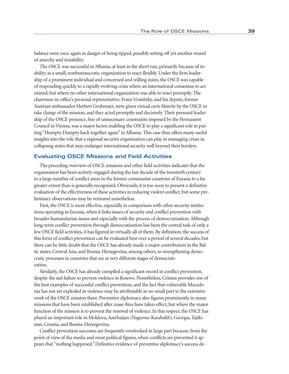balance were once again in danger of being tipped, possibly setting off yet another round of anarchy and instability.

The OSCE was successful in Albania, at least in the short run, primarily because of its ability as a small, nonbureaucratic organization to react flexibly. Under the firm leadership of a prominent individual and concerned and willing states, the OSCE was capable of responding quickly to a rapidly evolving crisis where an international consensus to act existed, but where no other international organization was able to react promptly. The chairman-in-office's personal representative, Franz Vranitzky, and his deputy, former Austrian ambassador Herbert Grubmayr, were given virtual *carte blanche* by the OSCE to take charge of the mission, and they acted promptly and decisively. Their personal leadership of the OSCE presence, free of unnecessary constraints imposed by the Permanent Council in Vienna, was a major factor enabling the OSCE to play a significant role in putting "Humpty Dumpty back together again" in Albania. This case thus offers many useful insights into the role that a regional security organization can play in managing crises in collapsing states that may endanger international security well beyond their borders.

### **Evaluating OSCE Missions and Field Activities**

The preceding overview of OSCE missions and other field activities indicates that the organization has been actively engaged during the last decade of the twentieth century in a large number of conflict areas in the former communist countries of Eurasia to a far greater extent than is generally recognized. Obviously, it is too soon to present a definitive evaluation of the effectiveness of these activities in reducing violent conflict, but some preliminary observations may be ventured nonetheless.

First, the OSCE is most effective, especially in comparison with other security institutions operating in Eurasia, when it links issues of security and conflict prevention with broader humanitarian issues and especially with the process of democratization. Although long-term conflict prevention through democratization has been the central task of only a few OSCE field activities, it has figured in virtually all of them. By definition, the success of this form of conflict prevention can be evaluated best over a period of several decades, but there can be little doubt that the OSCE has already made a major contribution in the Baltic states, Central Asia, and Bosnia-Herzegovina, among others, to strengthening democratic processes in countries that are at very different stages of democratization.

Similarly, the OSCE has already compiled a significant record in conflict prevention, despite the sad failure to prevent violence in Kosovo. Nonetheless, Crimea provides one of the best examples of successful conflict prevention, and the fact that vulnerable Macedonia has not yet exploded in violence may be attributable in no small part to the extensive work of the OSCE mission there. Preventive diplomacy also figures prominently in many missions that have been established after cease-fires have taken effect, but where the major function of the mission is to prevent the renewal of violence. In this respect, the OSCE has played an important role in Moldova, Azerbaijan (Nagorno-Karabakh), Georgia, Tajikistan, Croatia, and Bosnia-Herzegovina.

Conflict prevention successes are frequently overlooked in large part because, from the point of view of the media and most political figures, when conflicts are prevented it appears that "nothing happened." Definitive evidence of preventive diplomacy's success de-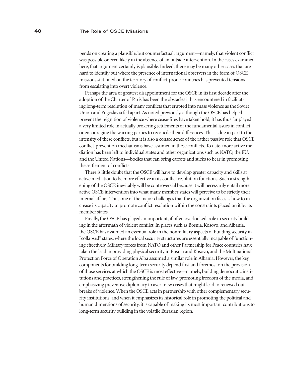pends on creating a plausible, but counterfactual, argument—namely, that violent conflict was possible or even likely in the absence of an outside intervention. In the cases examined here, that argument certainly is plausible. Indeed, there may be many other cases that are hard to identify but where the presence of international observers in the form of OSCE missions stationed on the territory of conflict-prone countries has prevented tensions from escalating into overt violence.

Perhaps the area of greatest disappointment for the OSCE in its first decade after the adoption of the Charter of Paris has been the obstacles it has encountered in facilitating long-term resolution of many conflicts that erupted into mass violence as the Soviet Union and Yugoslavia fell apart. As noted previously, although the OSCE has helped prevent the reignition of violence where cease-fires have taken hold, it has thus far played a very limited role in actually brokering settlements of the fundamental issues in conflict or encouraging the warring parties to reconcile their differences. This is due in part to the intensity of these conflicts, but it is also a consequence of the rather passive role that OSCE conflict-prevention mechanisms have assumed in these conflicts. To date, more active mediation has been left to individual states and other organizations such as NATO, the EU, and the United Nations—bodies that can bring carrots and sticks to bear in promoting the settlement of conflicts.

There is little doubt that the OSCE will have to develop greater capacity and skills at active mediation to be more effective in its conflict resolution functions. Such a strengthening of the OSCE inevitably will be controversial because it will necessarily entail more active OSCE intervention into what many member states will perceive to be strictly their internal affairs. Thus one of the major challenges that the organization faces is how to increase its capacity to promote conflict resolution within the constraints placed on it by its member states.

Finally, the OSCE has played an important, if often overlooked, role in security building in the aftermath of violent conflict. In places such as Bosnia, Kosovo, and Albania, the OSCE has assumed an essential role in the nonmilitary aspects of building security in "collapsed" states, where the local security structures are essentially incapable of functioning effectively. Military forces from NATO and other Partnership for Peace countries have taken the lead in providing physical security in Bosnia and Kosovo, and the Multinational Protection Force of Operation Alba assumed a similar role in Albania. However, the key components for building long-term security depend first and foremost on the provision of those services at which the OSCE is most effective—namely, building democratic institutions and practices, strengthening the rule of law, promoting freedom of the media, and emphasizing preventive diplomacy to avert new crises that might lead to renewed outbreaks of violence. When the OSCE acts in partnership with other complementary security institutions, and when it emphasizes its historical role in promoting the political and human dimensions of security, it is capable of making its most important contributions to long-term security building in the volatile Eurasian region.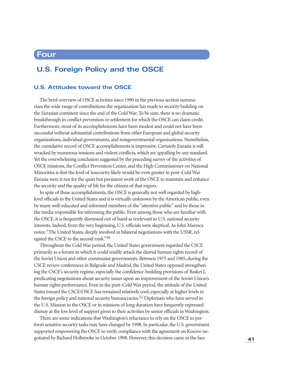## **Four**

## **U.S. Foreign Policy and the OSCE**

## **U.S. Attitudes toward the OSCE**

The brief overview of OSCE activities since 1990 in the previous section summarizes the wide range of contributions the organization has made to security building on the Eurasian continent since the end of the Cold War. To be sure, there is no dramatic breakthrough in conflict prevention or settlement for which the OSCE can claim credit. Furthermore, most of its accomplishments have been modest and could not have been successful without substantial contributions from other European and global security organizations, individual governments, and nongovernmental organizations. Nonetheless, the cumulative record of OSCE accomplishments is impressive. Certainly Eurasia is still wracked by numerous tensions and violent conflicts, which are appalling by any standard. Yet the overwhelming conclusion suggested by the preceding survey of the activities of OSCE missions, the Conflict Prevention Center, and the High Commissioner on National Minorities is that the level of insecurity likely would be even greater in post–Cold War Eurasia were it not for the quiet but persistent work of the OSCE to maintain and enhance the security and the quality of life for the citizens of that region.

In spite of these accomplishments, the OSCE is generally not well regarded by highlevel officials in the United States and it is virtually unknown by the American public, even by many well-educated and informed members of the "attentive public" and by those in the media responsible for informing the public. Even among those who are familiar with the OSCE, it is frequently dismissed out of hand as irrelevant to U.S. national security interests. Indeed, from the very beginning, U.S. officials were skeptical. As John Maresca notes: "The United States, deeply involved in bilateral negotiations with the USSR, relegated the CSCE to the second rank."50

Throughout the Cold War period, the United States government regarded the CSCE primarily as a forum in which it could readily attack the dismal human rights record of the Soviet Union and other communist governments. Between 1975 and 1985, during the CSCE review conferences in Belgrade and Madrid, the United States opposed strengthening the CSCE's security regime, especially the confidence-building provisions of Basket I, predicating negotiations about security issues upon an improvement of the Soviet Union's human rights performance. Even in the post–Cold War period, the attitude of the United States toward the CSCE/OSCE has remained relatively cool, especially at higher levels in the foreign policy and national security bureaucracies.<sup>51</sup> Diplomats who have served in the U.S. Mission to the OSCE or in missions of long duration have frequently expressed dismay at the low level of support given to their activities by senior officials in Washington.

There are some indications that Washington's reluctance to rely on the OSCE to perform sensitive security tasks may have changed by 1998. In particular, the U.S. government supported empowering the OSCE to verify compliance with the agreement on Kosovo negotiated by Richard Holbrooke in October 1998. However, this decision came in the face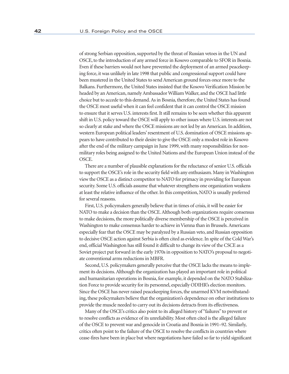of strong Serbian opposition, supported by the threat of Russian vetoes in the UN and OSCE, to the introduction of any armed force in Kosovo comparable to SFOR in Bosnia. Even if these barriers would not have prevented the deployment of an armed peacekeeping force, it was unlikely in late 1998 that public and congressional support could have been mustered in the United States to send American ground forces once more to the Balkans. Furthermore, the United States insisted that the Kosovo Verification Mission be headed by an American, namely Ambassador William Walker, and the OSCE had little choice but to accede to this demand. As in Bosnia, therefore, the United States has found the OSCE most useful when it can feel confident that it can control the OSCE mission to ensure that it serves U.S. interests first. It still remains to be seen whether this apparent shift in U.S. policy toward the OSCE will apply to other issues where U.S. interests are not so clearly at stake and where the OSCE missions are not led by an American. In addition, western European political leaders' resentment of U.S. domination of OSCE missions appears to have contributed to their desire to give the OSCE only a modest role in Kosovo after the end of the military campaign in June 1999, with many responsibilities for nonmilitary roles being assigned to the United Nations and the European Union instead of the OSCE.

There are a number of plausible explanations for the reluctance of senior U.S. officials to support the OSCE's role in the security field with any enthusiasm. Many in Washington view the OSCE as a distinct competitor to NATO for primacy in providing for European security. Some U.S. officials assume that whatever strengthens one organization weakens at least the relative influence of the other. In this competition, NATO is usually preferred for several reasons.

First, U.S. policymakers generally believe that in times of crisis, it will be easier for NATO to make a decision than the OSCE. Although both organizations require consensus to make decisions, the more politically diverse membership of the OSCE is perceived in Washington to make consensus harder to achieve in Vienna than in Brussels. Americans especially fear that the OSCE may be paralyzed by a Russian veto, and Russian opposition to decisive OSCE action against Serbia is often cited as evidence. In spite of the Cold War's end, official Washington has still found it difficult to change its view of the CSCE as a Soviet project put forward in the early 1970s in opposition to NATO's proposal to negotiate conventional arms reductions in MBFR.

Second, U.S. policymakers generally perceive that the OSCE lacks the means to implement its decisions. Although the organization has played an important role in political and humanitarian operations in Bosnia, for example, it depended on the NATO Stabilization Force to provide security for its personnel, especially ODIHR's election monitors. Since the OSCE has never raised peacekeeping forces, the unarmed KVM notwithstanding, these policymakers believe that the organization's dependence on other institutions to provide the muscle needed to carry out its decisions detracts from its effectiveness.

Many of the OSCE's critics also point to its alleged history of "failures" to prevent or to resolve conflicts as evidence of its unreliability. Most often cited is the alleged failure of the OSCE to prevent war and genocide in Croatia and Bosnia in 1991–92. Similarly, critics often point to the failure of the OSCE to resolve the conflicts in countries where cease-fires have been in place but where negotiations have failed so far to yield significant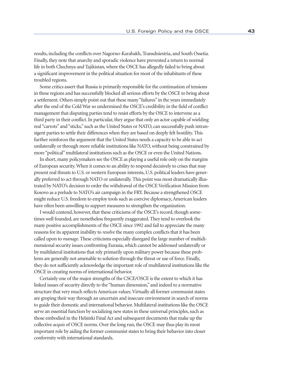results, including the conflicts over Nagorno-Karabakh, Transdniestria, and South Ossetia. Finally, they note that anarchy and sporadic violence have prevented a return to normal life in both Chechnya and Tajikistan, where the OSCE has allegedly failed to bring about a significant improvement in the political situation for most of the inhabitants of these troubled regions.

Some critics assert that Russia is primarily responsible for the continuation of tensions in these regions and has successfully blocked all serious efforts by the OSCE to bring about a settlement. Others simply point out that these many "failures" in the years immediately after the end of the Cold War so undermined the OSCE's credibility in the field of conflict management that disputing parties tend to resist efforts by the OSCE to intervene as a third party in their conflict. In particular, they argue that only an actor capable of wielding real "carrots" and "sticks," such as the United States or NATO, can successfully push intransigent parties to settle their differences when they are based on deeply felt hostility. This further reinforces the argument that the United States needs a capacity to be able to act unilaterally or through more reliable institutions like NATO, without being constrained by more "political" multilateral institutions such as the OSCE or even the United Nations.

In short, many policymakers see the OSCE as playing a useful role only on the margins of European security. When it comes to an ability to respond decisively to crises that may present real threats to U.S. or western European interests, U.S. political leaders have generally preferred to act through NATO or unilaterally. This point was most dramatically illustrated by NATO's decision to order the withdrawal of the OSCE Verification Mission from Kosovo as a prelude to NATO's air campaign in the FRY. Because a strengthened OSCE might reduce U.S. freedom to employ tools such as coercive diplomacy, American leaders have often been unwilling to support measures to strengthen the organization.

I would contend, however, that these criticisms of the OSCE's record, though sometimes well founded, are nonetheless frequently exaggerated. They tend to overlook the many positive accomplishments of the OSCE since 1992 and fail to appreciate the many reasons for its apparent inability to *resolve* the many complex conflicts that it has been called upon to *manage*. These criticisms especially disregard the large number of multidimensional security issues confronting Eurasia, which cannot be addressed unilaterally or by multilateral institutions that rely primarily upon military power because these problems are generally not amenable to solution through the threat or use of force. Finally, they do not sufficiently acknowledge the important role of multilateral institutions like the OSCE in creating norms of international behavior.

Certainly one of the major strengths of the CSCE/OSCE is the extent to which it has linked issues of security directly to the "human dimension," and indeed to a normative structure that very much reflects American values. Virtually all former communist states are groping their way through an uncertain and insecure environment in search of norms to guide their domestic and international behavior. Multilateral institutions like the OSCE serve an essential function by socializing new states in these universal principles, such as those embodied in the Helsinki Final Act and subsequent documents that make up the collective *acquis* of OSCE norms. Over the long run, the OSCE may thus play its most important role by aiding the former communist states to bring their behavior into closer conformity with international standards.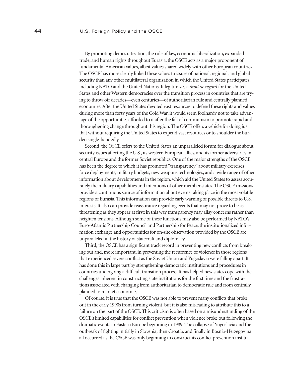By promoting democratization, the rule of law, economic liberalization, expanded trade, and human rights throughout Eurasia, the OSCE acts as a major proponent of fundamental American values, albeit values shared widely with other European countries. The OSCE has more clearly linked these values to issues of national, regional, and global security than any other multilateral organization in which the United States participates, including NATO and the United Nations. It legitimizes a *droit de regard* for the United States and other Western democracies over the transition process in countries that are trying to throw off decades—even centuries—of authoritarian rule and centrally planned economies. After the United States devoted vast resources to defend these rights and values during more than forty years of the Cold War, it would seem foolhardy not to take advantage of the opportunities afforded to it after the fall of communism to promote rapid and thoroughgoing change throughout this region. The OSCE offers a vehicle for doing just that without requiring the United States to expend vast resources or to shoulder the burden single-handedly.

Second, the OSCE offers to the United States an unparalleled forum for dialogue about security issues affecting the U.S., its western European allies, and its former adversaries in central Europe and the former Soviet republics. One of the major strengths of the OSCE has been the degree to which it has promoted "transparency" about military exercises, force deployments, military budgets, new weapons technologies, and a wide range of other information about developments in the region, which aid the United States to assess accurately the military capabilities and intentions of other member states. The OSCE missions provide a continuous source of information about events taking place in the most volatile regions of Eurasia. This information can provide early warning of possible threats to U.S. interests. It also can provide reassurance regarding events that may not prove to be as threatening as they appear at first; in this way transparency may allay concerns rather than heighten tensions. Although some of these functions may also be performed by NATO's Euro-Atlantic Partnership Council and Partnership for Peace, the institutionalized information exchange and opportunities for on-site observation provided by the OSCE are unparalleled in the history of statecraft and diplomacy.

Third, the OSCE has a significant track record in preventing new conflicts from breaking out and, more important, in preventing the recurrence of violence in those regions that experienced severe conflict as the Soviet Union and Yugoslavia were falling apart. It has done this in large part by strengthening democratic institutions and procedures in countries undergoing a difficult transition process. It has helped new states cope with the challenges inherent in constructing state institutions for the first time and the frustrations associated with changing from authoritarian to democratic rule and from centrally planned to market economies.

Of course, it is true that the OSCE was not able to prevent many conflicts that broke out in the early 1990s from turning violent, but it is also misleading to attribute this to a failure on the part of the OSCE. This criticism is often based on a misunderstanding of the OSCE's limited capabilities for conflict prevention when violence broke out following the dramatic events in Eastern Europe beginning in 1989. The collapse of Yugoslavia and the outbreak of fighting initially in Slovenia, then Croatia, and finally in Bosnia-Herzegovina all occurred as the CSCE was only beginning to construct its conflict prevention institu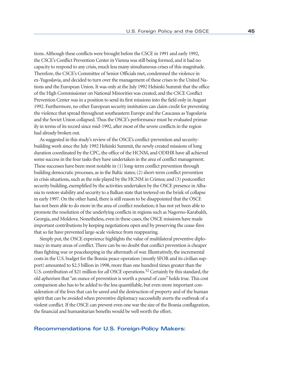tions. Although these conflicts were brought before the CSCE in 1991 and early 1992, the CSCE's Conflict Prevention Center in Vienna was still being formed, and it had no capacity to respond to any crisis, much less many simultaneous crises of this magnitude. Therefore, the CSCE's Committee of Senior Officials met, condemned the violence in ex-Yugoslavia, and decided to turn over the management of these crises to the United Nations and the European Union. It was only at the July 1992 Helsinki Summit that the office of the High Commissioner on National Minorities was created, and the CSCE Conflict Prevention Center was in a position to send its first missions into the field only in August 1992. Furthermore, no other European security institution can claim credit for preventing the violence that spread throughout southeastern Europe and the Caucasus as Yugoslavia and the Soviet Union collapsed. Thus the OSCE's performance must be evaluated primarily in terms of its record since mid-1992, after most of the severe conflicts in the region had already broken out.

As suggested in this study's review of the OSCE's conflict-prevention and securitybuilding work since the July 1992 Helsinki Summit, the newly created missions of long duration coordinated by the CPC, the office of the HCNM, and ODIHR have all achieved some success in the four tasks they have undertaken in the area of conflict management. These successes have been most notable in (1) long-term conflict prevention through building democratic processes, as in the Baltic states; (2) short-term conflict prevention in crisis situations, such as the role played by the HCNM in Crimea; and (3) postconflict security building, exemplified by the activities undertaken by the OSCE presence in Albania to restore stability and security to a Balkan state that teetered on the brink of collapse in early 1997. On the other hand, there is still reason to be disappointed that the OSCE has not been able to do more in the area of conflict resolution; it has not yet been able to promote the resolution of the underlying conflicts in regions such as Nagorno-Karabakh, Georgia, and Moldova. Nonetheless, even in these cases, the OSCE missions have made important contributions by keeping negotiations open and by preserving the cease-fires that so far have prevented large-scale violence from reappearing.

Simply put, the OSCE experience highlights the value of multilateral preventive diplomacy in many areas of conflict. There can be no doubt that conflict prevention is cheaper than fighting war or peacekeeping in the aftermath of war. Illustratively, the incremental costs in the U.S. budget for the Bosnia peace operation (mostly SFOR and its civilian support) amounted to \$2.5 billion in 1998, more than one hundred times greater than the U.S. contribution of \$21 million for *all* OSCE operations.<sup>52</sup> Certainly by this standard, the old aphorism that "an ounce of prevention is worth a pound of cure" holds true. This cost comparison also has to be added to the less quantifiable, but even more important consideration of the lives that can be saved and the destruction of property and of the human spirit that can be avoided when preventive diplomacy successfully averts the outbreak of a violent conflict. If the OSCE can prevent even one war the size of the Bosnia conflagration, the financial and humanitarian benefits would be well worth the effort.

#### **Recommendations for U.S. Foreign-Policy Makers:**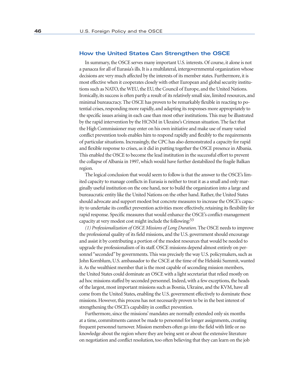#### **How the United States Can Strengthen the OSCE**

In summary, the OSCE serves many important U.S. interests. Of course, it alone is not a panacea for all of Eurasia's ills. It is a multilateral, intergovernmental organization whose decisions are very much affected by the interests of its member states. Furthermore, it is most effective when it cooperates closely with other European and global security institutions such as NATO, the WEU, the EU, the Council of Europe, and the United Nations. Ironically, its success is often partly a result of its relatively small size, limited resources, and minimal bureaucracy. The OSCE has proven to be remarkably flexible in reacting to potential crises, responding more rapidly, and adapting its responses more appropriately to the specific issues arising in each case than most other institutions. This may be illustrated by the rapid intervention by the HCNM in Ukraine's Crimean situation. The fact that the High Commissioner may enter on his own initiative and make use of many varied conflict prevention tools enables him to respond rapidly and flexibly to the requirements of particular situations. Increasingly, the CPC has also demonstrated a capacity for rapid and flexible response to crises, as it did in putting together the OSCE presence in Albania. This enabled the OSCE to become the lead institution in the successful effort to prevent the collapse of Albania in 1997, which would have further destabilized the fragile Balkan region.

The logical conclusion that would seem to follow is that the answer to the OSCE's limited capacity to manage conflicts in Eurasia is neither to treat it as a small and only marginally useful institution on the one hand, nor to build the organization into a large and bureaucratic entity like the United Nations on the other hand. Rather, the United States should advocate and support modest but concrete measures to increase the OSCE's capacity to undertake its conflict prevention activities more effectively, retaining its flexibility for rapid response. Specific measures that would enhance the OSCE's conflict-management capacity at very modest cost might include the following:53

*(1) Professionalization of OSCE Missions of Long Duration.* The OSCE needs to improve the professional quality of its field missions, and the U.S. government should encourage and assist it by contributing a portion of the modest resources that would be needed to upgrade the professionalism of its staff. OSCE missions depend almost entirely on personnel "seconded" by governments. This was precisely the way U.S. policymakers, such as John Kornblum, U.S. ambassador to the CSCE at the time of the Helsinki Summit, wanted it. As the wealthiest member that is the most capable of seconding mission members, the United States could dominate an OSCE with a light secretariat that relied mostly on ad hoc missions staffed by seconded personnel. Indeed, with a few exceptions, the heads of the largest, most important missions such as Bosnia, Ukraine, and the KVM, have all come from the United States, enabling the U.S. government effectively to dominate these missions. However, this process has not necessarily proven to be in the best interest of strengthening the OSCE's capability in conflict prevention.

Furthermore, since the missions' mandates are normally extended only six months at a time, commitments cannot be made to personnel for longer assignments, creating frequent personnel turnover. Mission members often go into the field with little or no knowledge about the region where they are being sent or about the extensive literature on negotiation and conflict resolution, too often believing that they can learn on the job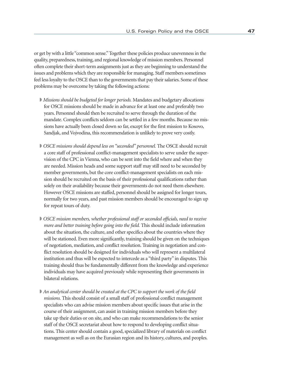or get by with a little "common sense." Together these policies produce unevenness in the quality, preparedness, training, and regional knowledge of mission members. Personnel often complete their short-term assignments just as they are beginning to understand the issues and problems which they are responsible for managing. Staff members sometimes feel less loyalty to the OSCE than to the governments that pay their salaries. Some of these problems may be overcome by taking the following actions:

- ◗ *Missions should be budgeted for longer periods.* Mandates and budgetary allocations for OSCE missions should be made in advance for at least one and preferably two years. Personnel should then be recruited to serve through the duration of the mandate. Complex conflicts seldom can be settled in a few months. Because no missions have actually been closed down so far, except for the first mission to Kosovo, Sandjak, and Vojvodina, this recommendation is unlikely to prove very costly.
- ◗ *OSCE missions should depend less on "seconded" personnel.* The OSCE should recruit a core staff of professional conflict-management specialists to serve under the supervision of the CPC in Vienna, who can be sent into the field where and when they are needed. Mission heads and some support staff may still need to be seconded by member governments, but the core conflict-management specialists on each mission should be recruited on the basis of their professional qualifications rather than solely on their availability because their governments do not need them elsewhere. However OSCE missions are staffed, personnel should be assigned for longer tours, normally for two years, and past mission members should be encouraged to sign up for repeat tours of duty.
- ◗ *OSCE mission members, whether professional staff or seconded officials, need to receive more and better training before going into the field.* This should include information about the situation, the culture, and other specifics about the countries where they will be stationed. Even more significantly, training should be given on the techniques of negotiation, mediation, and conflict resolution. Training in negotiation and conflict resolution should be designed for individuals who will represent a multilateral institution and thus will be expected to intercede as a "third party" in disputes. This training should thus be fundamentally different from the knowledge and experience individuals may have acquired previously while representing their governments in bilateral relations.
- ◗ *An analytical center should be created at the CPC to support the work of the field missions.* This should consist of a small staff of professional conflict management specialists who can advise mission members about specific issues that arise in the course of their assignment, can assist in training mission members before they take up their duties or on site, and who can make recommendations to the senior staff of the OSCE secretariat about how to respond to developing conflict situations. This center should contain a good, specialized library of materials on conflict management as well as on the Eurasian region and its history, cultures, and peoples.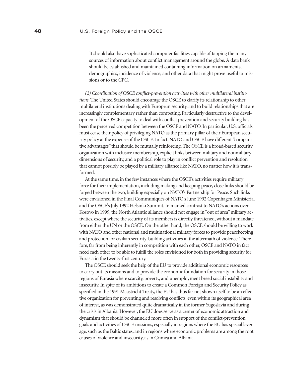It should also have sophisticated computer facilities capable of tapping the many sources of information about conflict management around the globe. A data bank should be established and maintained containing information on armaments, demographics, incidence of violence, and other data that might prove useful to missions or to the CPC.

*(2) Coordination of OSCE conflict-prevention activities with other multilateral institutions*. The United States should encourage the OSCE to clarify its relationship to other multilateral institutions dealing with European security, and to build relationships that are increasingly complementary rather than competing. Particularly destructive to the development of the OSCE capacity to deal with conflict prevention and security building has been the perceived competition between the OSCE and NATO. In particular, U.S. officials must cease their policy of privileging NATO as the primary pillar of their European security policy at the expense of the OSCE. In fact, NATO and OSCE have different "comparative advantages" that should be mutually reinforcing. The OSCE is a broad-based security organization with inclusive membership, explicit links between military and nonmilitary dimensions of security, and a political role to play in conflict prevention and resolution that cannot possibly be played by a military alliance like NATO, no matter how it is transformed.

At the same time, in the few instances where the OSCE's activities require military force for their implementation, including making and keeping peace, close links should be forged between the two, building especially on NATO's Partnership for Peace. Such links were envisioned in the Final Communiqués of NATO's June 1992 Copenhagen Ministerial and the OSCE's July 1992 Helsinki Summit. In marked contrast to NATO's actions over Kosovo in 1999, the North Atlantic alliance should not engage in "out of area" military activities, except where the security of its members is directly threatened, without a mandate from either the UN or the OSCE. On the other hand, the OSCE should be willing to work with NATO and other national and multinational military forces to provide peacekeeping and protection for civilian security-building activities in the aftermath of violence. Therefore, far from being inherently in competition with each other, OSCE and NATO in fact need each other to be able to fulfill the roles envisioned for both in providing security for Eurasia in the twenty-first century.

The OSCE should seek the help of the EU to provide additional economic resources to carry out its missions and to provide the economic foundation for security in those regions of Eurasia where scarcity, poverty, and unemployment breed social instability and insecurity. In spite of its ambitions to create a Common Foreign and Security Policy as specified in the 1991 Maastricht Treaty, the EU has thus far not shown itself to be an effective organization for preventing and resolving conflicts, even within its geographical area of interest, as was demonstrated quite dramatically in the former Yugoslavia and during the crisis in Albania. However, the EU does serve as a center of economic attraction and dynamism that should be channeled more often in support of the conflict-prevention goals and activities of OSCE missions, especially in regions where the EU has special leverage, such as the Baltic states, and in regions where economic problems are among the root causes of violence and insecurity, as in Crimea and Albania.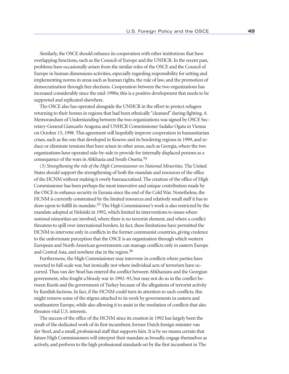Similarly, the OSCE should enhance its cooperation with other institutions that have overlapping functions, such as the Council of Europe and the UNHCR. In the recent past, problems have occasionally arisen from the similar roles of the OSCE and the Council of Europe in human dimensions activities, especially regarding responsibility for setting and implementing norms in areas such as human rights, the rule of law, and the promotion of democratization through free elections. Cooperation between the two organizations has increased considerably since the mid-1990s; this is a positive development that needs to be supported and replicated elsewhere.

The OSCE also has operated alongside the UNHCR in the effort to protect refugees returning to their homes in regions that had been ethnically "cleansed" during fighting. A Memorandum of Understanding between the two organizations was signed by OSCE Secretary-General Giancarlo Aragona and UNHCR Commissioner Sadako Ogata in Vienna on October 15, 1998. This agreement will hopefully improve cooperation in humanitarian crises, such as the one that developed in Kosovo and its bordering regions in 1999, and reduce or eliminate tensions that have arisen in other areas, such as Georgia, where the two organizations have operated side-by-side to provide for internally displaced persons as a consequence of the wars in Abkhazia and South Ossetia.54

*(3) Strengthening the role of the High Commissioner on National Minorities.* The United States should support the strengthening of both the mandate and resources of the office of the HCNM without making it overly bureaucratized. The creation of the office of High Commissioner has been perhaps the most innovative and unique contribution made by the OSCE to enhance security in Eurasia since the end of the Cold War. Nonetheless, the HCNM is currently constrained by the limited resources and relatively small staff it has to draw upon to fulfill its mandate.55 The High Commissioner's work is also restricted by the mandate adopted at Helsinki in 1992, which limited its interventions to issues where *national* minorities are involved, where there is no terrorist element, and where a conflict threatens to spill over international borders. In fact, these limitations have permitted the HCNM to intervene only in conflicts in the former communist countries, giving credence to the unfortunate perception that the OSCE is an organization through which western European and North American governments can manage conflicts only in eastern Europe and Central Asia, and nowhere else in the region.56

Furthermore, the High Commissioner may intervene in conflicts where parties have resorted to full-scale war, but ironically not where individual acts of terrorism have occurred. Thus van der Stoel has entered the conflict between Abkhazians and the Georgian government, who fought a bloody war in 1992–93, but may not do so in the conflict between Kurds and the government of Turkey because of the allegations of terrorist activity by Kurdish factions. In fact, if the HCNM could turn its attention to such conflicts, this might remove some of the stigma attached to its work by governments in eastern and southeastern Europe, while also allowing it to assist in the resolution of conflicts that also threaten vital U.S. interests.

The success of the office of the HCNM since its creation in 1992 has largely been the result of the dedicated work of its first incumbent, former Dutch foreign minister van der Stoel, and a small, professional staff that supports him. It is by no means certain that future High Commissioners will interpret their mandate as broadly, engage themselves as actively, and perform to the high professional standards set by the first incumbent in The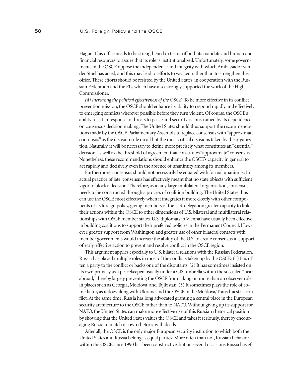Hague. This office needs to be strengthened in terms of both its mandate and human and financial resources to assure that its role is institutionalized. Unfortunately, some governments in the OSCE oppose the independence and integrity with which Ambassador van der Stoel has acted, and this may lead to efforts to weaken rather than to strengthen this office. These efforts should be resisted by the United States, in cooperation with the Russian Federation and the EU, which have also strongly supported the work of the High Commissioner.

*(4) Increasing the political effectiveness of the OSCE.* To be more effective in its conflict prevention mission, the OSCE should enhance its ability to respond rapidly and effectively to emerging conflicts wherever possible before they turn violent. Of course, the OSCE's ability to act in response to threats to peace and security is constrained by its dependence on consensus decision making. The United States should thus support the recommendations made by the OSCE Parliamentary Assembly to replace consensus with "approximate consensus" as the decision rule on all but the most critical decisions taken by the organization. Naturally, it will be necessary to define more precisely what constitutes an "essential" decision, as well as the threshold of agreement that constitutes "approximate" consensus. Nonetheless, these recommendations should enhance the OSCE's capacity in general to act rapidly and decisively even in the absence of unanimity among its members.

Furthermore, consensus should not necessarily be equated with formal unanimity. In actual practice of late, consensus has effectively meant that no state objects with sufficient vigor to block a decision. Therefore, as in any large multilateral organization, consensus needs to be constructed through a process of coalition building. The United States thus can use the OSCE most effectively when it integrates it more closely with other components of its foreign policy, giving members of the U.S. delegation greater capacity to link their actions within the OSCE to other dimensions of U.S. bilateral and multilateral relationships with OSCE member states. U.S. diplomats in Vienna have usually been effective in building coalitions to support their preferred policies in the Permanent Council. However, greater support from Washington and greater use of other bilateral contacts with member governments would increase the ability of the U.S. to create consensus in support of early, effective action to prevent and resolve conflict in the OSCE region.

This argument applies especially to U.S. bilateral relations with the Russian Federation. Russia has played multiple roles in most of the conflicts taken up by the OSCE: (1) It is often a party to the conflict or backs one of the disputants. (2) It has sometimes insisted on its own primacy as a peacekeeper, usually under a CIS umbrella within the so-called "near abroad," thereby largely preventing the OSCE from taking on more than an observer role in places such as Georgia, Moldova, and Tajikistan. (3) It sometimes plays the role of comediator, as it does along with Ukraine and the OSCE in the Moldova/Transdniestria conflict. At the same time, Russia has long advocated granting a central place in the European security architecture to the OSCE rather than to NATO. Without giving up its support for NATO, the United States can make more effective use of this Russian rhetorical position by showing that the United States values the OSCE and takes it seriously, thereby encouraging Russia to match its own rhetoric with deeds.

After all, the OSCE is the only major European security institution to which both the United States and Russia belong as equal parties. More often than not, Russian behavior within the OSCE since 1990 has been constructive, but on several occasions Russia has ef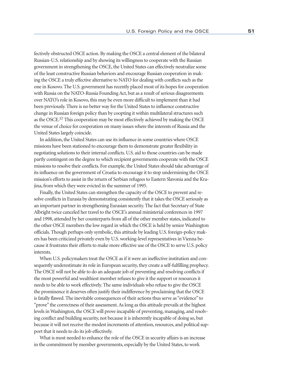fectively obstructed OSCE action. By making the OSCE a central element of the bilateral Russian-U.S. relationship and by showing its willingness to cooperate with the Russian government in strengthening the OSCE, the United States can effectively neutralize some of the least constructive Russian behaviors and encourage Russian cooperation in making the OSCE a truly effective alternative to NATO for dealing with conflicts such as the one in Kosovo. The U.S. government has recently placed most of its hopes for cooperation with Russia on the NATO-Russia Founding Act, but as a result of serious disagreements over NATO's role in Kosovo, this may be even more difficult to implement than it had been previously. There is no better way for the United States to influence constructive change in Russian foreign policy than by coopting it within multilateral structures such as the OSCE.57 This cooperation may be most effectively achieved by making the OSCE the venue of choice for cooperation on many issues where the interests of Russia and the United States largely coincide.

In addition, the United States can use its influence in some countries where OSCE missions have been stationed to encourage them to demonstrate greater flexibility in negotiating solutions to their internal conflicts. U.S. aid to those countries can be made partly contingent on the degree to which recipient governments cooperate with the OSCE missions to resolve their conflicts. For example, the United States should take advantage of its influence on the government of Croatia to encourage it to stop undermining the OSCE mission's efforts to assist in the return of Serbian refugees to Eastern Slavonia and the Krajina, from which they were evicted in the summer of 1995.

Finally, the United States can strengthen the capacity of the OSCE to prevent and resolve conflicts in Eurasia by demonstrating consistently that it takes the OSCE seriously as an important partner in strengthening Eurasian security. The fact that Secretary of State Albright twice canceled her travel to the OSCE's annual ministerial conferences in 1997 and 1998, attended by her counterparts from all of the other member states, indicated to the other OSCE members the low regard in which the OSCE is held by senior Washington officials. Though perhaps only symbolic, this attitude by leading U.S. foreign-policy makers has been criticized privately even by U.S. working-level representatives in Vienna because it frustrates their efforts to make more effective use of the OSCE to serve U.S. policy interests.

When U.S. policymakers treat the OSCE as if it were an ineffective institution and consequently underestimate its role in European security, they create a self-fulfilling prophecy. The OSCE will not be able to do an adequate job of preventing and resolving conflicts if the most powerful and wealthiest member refuses to give it the support or resources it needs to be able to work effectively. The same individuals who refuse to give the OSCE the prominence it deserves often justify their indifference by proclaiming that the OSCE is fatally flawed. The inevitable consequences of their actions thus serve as "evidence" to "prove" the correctness of their assessment. As long as this attitude prevails at the highest levels in Washington, the OSCE will prove incapable of preventing, managing, and resolving conflict and building security, not because it is inherently incapable of doing so, but because it will not receive the modest increments of attention, resources, and political support that it needs to do its job effectively.

What is most needed to enhance the role of the OSCE in security affairs is an increase in the commitment by member governments, especially by the United States, to work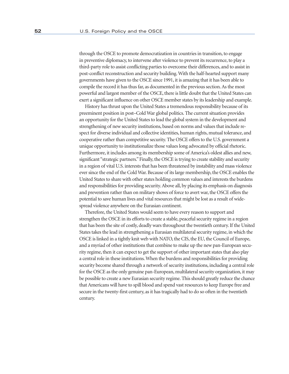through the OSCE to promote democratization in countries in transition, to engage in preventive diplomacy, to intervene after violence to prevent its recurrence, to play a third-party role to assist conflicting parties to overcome their differences, and to assist in post-conflict reconstruction and security building. With the half-hearted support many governments have given to the OSCE since 1991, it is amazing that it has been able to compile the record it has thus far, as documented in the previous section. As the most powerful and largest member of the OSCE, there is little doubt that the United States can exert a significant influence on other OSCE member states by its leadership and example.

History has thrust upon the United States a tremendous responsibility because of its preeminent position in post–Cold War global politics. The current situation provides an opportunity for the United States to lead the global system in the development and strengthening of new security institutions, based on norms and values that include respect for diverse individual and collective identities, human rights, mutual tolerance, and cooperative rather than competitive security. The OSCE offers to the U.S. government a unique opportunity to institutionalize those values long advocated by official rhetoric. Furthermore, it includes among its membership some of America's oldest allies and new, significant "strategic partners." Finally, the OSCE is trying to create stability and security in a region of vital U.S. interests that has been threatened by instability and mass violence ever since the end of the Cold War. Because of its large membership, the OSCE enables the United States to share with other states holding common values and interests the burdens and responsibilities for providing security. Above all, by placing its emphasis on diagnosis and prevention rather than on military shows of force to avert war, the OSCE offers the potential to save human lives and vital resources that might be lost as a result of widespread violence anywhere on the Eurasian continent.

Therefore, the United States would seem to have every reason to support and strengthen the OSCE in its efforts to create a stable, peaceful security regime in a region that has been the site of costly, deadly wars throughout the twentieth century. If the United States takes the lead in strengthening a Eurasian multilateral security regime, in which the OSCE is linked in a tightly knit web with NATO, the CIS, the EU, the Council of Europe, and a myriad of other institutions that combine to make up the new pan-European security regime, then it can expect to get the support of other important states that also play a central role in these institutions. When the burdens and responsibilities for providing security become shared through a network of security institutions, including a central role for the OSCE as the only genuine pan-European, multilateral security organization, it may be possible to create a new Eurasian security regime. This should greatly reduce the chance that Americans will have to spill blood and spend vast resources to keep Europe free and secure in the twenty-first century, as it has tragically had to do so often in the twentieth century.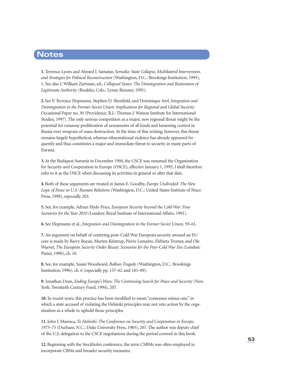# **Notes**

**1.** Terrence Lyons and Ahmed I. Samatar, *Somalia: State Collapse, Multilateral Intervention, and Strategies for Political Reconstruction* (Washington, D.C.: Brookings Institution, 1995), 1. See also I. William Zartman, ed., *Collapsed States: The Disintegration and Restoration of Legitimate Authority* (Boulder, Colo.: Lynne Rienner, 1995).

**2.** See P. Terrence Hopmann, Stephen D. Shenfield, and Dominique Arel, *Integration and Disintegration in the Former Soviet Union: Implications for Regional and Global Security*. Occasional Paper no. 30 (Providence, R.I.: Thomas J. Watson Institute for International Studies, 1997). The only serious competition as a major, new regional threat might be the potential for runaway proliferation of armaments of all kinds and loosening control in Russia over weapons of mass destruction. At the time of this writing, however, this threat remains largely hypothetical, whereas ethnonational violence has already appeared frequently and thus constitutes a major and immediate threat to security in many parts of Eurasia.

**3.** At the Budapest Summit in December 1994, the CSCE was renamed the Organization for Security and Cooperation in Europe (OSCE), effective January 1, 1995; I shall therefore refer to it as the OSCE when discussing its activities in general or after that date.

**4.** Both of these arguments are treated in James E. Goodby, *Europe Undivided: The New Logic of Peace in U.S.-Russian Relations* (Washington, D.C.: United States Institute of Peace Press, 1998), especially 203.

**5.** See, for example, Adrian Hyde-Price, *European Security beyond the Cold War: Four Scenarios for the Year 2010* (London: Royal Institute of International Affairs, 1991).

**6.** See Hopmann et al., *Integration and Disintegration in the Former Soviet Union,* 59–61.

**7.** An argument on behalf of centering post–Cold War European security around an EU core is made by Barry Buzan, Morten Kelstrup, Pierre Lemaitre, Elzbieta Tromer, and Ole Waever, *The European Security Order Recast: Scenarios for the Post–Cold War Era* (London: Pinter, 1990), ch. 10.

**8.** See, for example, Susan Woodward, *Balkan Tragedy* (Washington, D.C.: Brookings Institution, 1996), ch. 6 (especially pp. 157–62 and 183–89).

**9.** Jonathan Dean, *Ending Europe's Wars: The Continuing Search for Peace and Security* (New York: Twentieth Century Fund, 1994), 207.

**10.** In recent years, this practice has been modified to mean "consensus minus one," in which a state accused of violating the Helsinki principles may not veto action by the organization as a whole to uphold those principles.

**11.** John J. Maresca, *To Helsinki: The Conference on Security and Cooperation in Europe, 1973–75* (Durham, N.C.: Duke University Press, 1985), 207. The author was deputy chief of the U.S. delegation to the CSCE negotiations during the period covered in this book.

**12.** Beginning with the Stockholm conference, the term CSBMs was often employed to incorporate CBMs and broader security measures.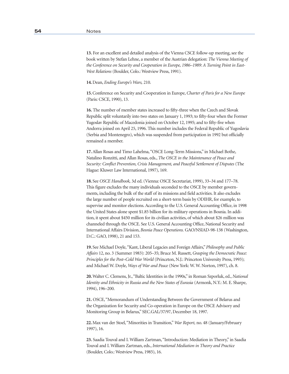**13.** For an excellent and detailed analysis of the Vienna CSCE follow-up meeting, see the book written by Stefan Lehne, a member of the Austrian delegation: *The Vienna Meeting of the Conference on Security and Cooperation in Europe, 1986–1989: A Turning Point in East-West Relations* (Boulder, Colo.: Westview Press, 1991).

**14.** Dean, *Ending Europe's Wars,* 210.

**15.** Conference on Security and Cooperation in Europe, *Charter of Paris for a New Europe* (Paris: CSCE, 1990), 13.

**16.** The number of member states increased to fifty-three when the Czech and Slovak Republic split voluntarily into two states on January 1, 1993; to fifty-four when the Former Yugoslav Republic of Macedonia joined on October 12, 1995; and to fifty-five when Andorra joined on April 25, 1996. This number includes the Federal Republic of Yugoslavia (Serbia and Montenegro), which was suspended from participation in 1992 but officially remained a member.

**17.** Allan Rosas and Timo Lahelma, "OSCE Long-Term Missions," in Michael Bothe, Natalino Ronzitti, and Allan Rosas, eds., *The OSCE in the Maintenance of Peace and Security: Conflict Prevention, Crisis Management, and Peaceful Settlement of Disputes* (The Hague: Kluwer Law International, 1997), 169.

**18.** See *OSCE Handbook,* 3d ed. (Vienna: OSCE Secretariat, 1999), 33–34 and 177–78. This figure excludes the many individuals seconded to the OSCE by member governments, including the bulk of the staff of its missions and field activities. It also excludes the large number of people recruited on a short-term basis by ODIHR, for example, to supervise and monitor elections. According to the U.S. General Accounting Office, in 1998 the United States alone spent \$1.85 billion for its military operations in Bosnia. In addition, it spent about \$450 million for its civilian activities, of which about \$26 million was channeled through the OSCE. See U.S. General Accounting Office, National Security and International Affairs Division, *Bosnia Peace Operations.* GAO/NSIAD-98-138 (Washington, D.C.: GAO, 1998), 21 and 153.

**19.** See Michael Doyle, "Kant, Liberal Legacies and Foreign Affairs," *Philosophy and Public Affairs* 12, no. 3 (Summer 1983): 205–35; Bruce M. Russett, *Grasping the Democratic Peace: Principles for the Post–Cold War World* (Princeton, N.J.: Princeton University Press, 1993); and Michael W. Doyle, *Ways of War and Peace* (New York: W. W. Norton, 1997), ch. 8.

**20.** Walter C. Clemens, Jr., "Baltic Identities in the 1990s," in Roman Szporluk, ed., *National Identity and Ethnicity in Russia and the New States of Eurasia* (Armonk, N.Y.: M. E. Sharpe, 1994), 196–200.

**21.** OSCE, "Memorandum of Understanding Between the Government of Belarus and the Organization for Security and Co-operation in Europe on the OSCE Advisory and Monitoring Group in Belarus," SEC.GAL/37/97, December 18, 1997.

**22.** Max van der Stoel, "Minorities in Transition," *War Report,* no. 48 (January/February 1997), 16.

**23.** Saadia Touval and I. William Zartman, "Introduction: Mediation in Theory," in Saadia Touval and I. William Zartman, eds., *International Mediation in Theory and Practice*  (Boulder, Colo.: Westview Press, 1985), 16.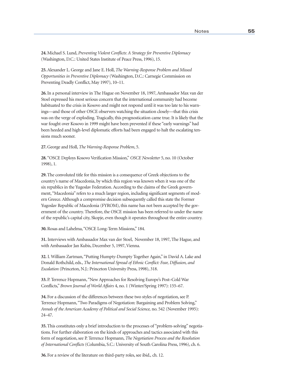**24.** Michael S. Lund, *Preventing Violent Conflicts: A Strategy for Preventive Diplomacy*  (Washington, D.C.: United States Institute of Peace Press, 1996), 15.

**25.** Alexander L. George and Jane E. Holl, *The Warning-Response Problem and Missed Opportunities in Preventive Diplomacy* (Washington, D.C.: Carnegie Commission on Preventing Deadly Conflict, May 1997), 10–11.

**26.** In a personal interview in The Hague on November 18, 1997, Ambassador Max van der Stoel expressed his most serious concern that the international community had become habituated to the crisis in Kosovo and might not respond until it was too late to his warnings—and those of other OSCE observers watching the situation closely—that this crisis was on the verge of exploding. Tragically, this prognostication came true. It is likely that the war fought over Kosovo in 1999 might have been prevented if these "early warnings" had been heeded and high-level diplomatic efforts had been engaged to halt the escalating tensions much sooner.

**27.** George and Holl, *The Warning-Response Problem*, 5.

**28.** "OSCE Deploys Kosovo Verification Mission," *OSCE Newsletter* 5, no. 10 (October 1998), 1.

**29.** The convoluted title for this mission is a consequence of Greek objections to the country's name of Macedonia, by which this region was known when it was one of the six republics in the Yugoslav Federation. According to the claims of the Greek government, "Macedonia" refers to a much larger region, including significant segments of modern Greece. Although a compromise decision subsequently called this state the Former Yugoslav Republic of Macedonia (FYROM), this name has not been accepted by the government of the country. Therefore, the OSCE mission has been referred to under the name of the republic's capital city, Skopje, even though it operates throughout the entire country.

**30.** Rosas and Lahelma, "OSCE Long-Term Missions," 184.

**31.** Interviews with Ambassador Max van der Stoel, November 18, 1997, The Hague, and with Ambassador Jan Kubis, December 5, 1997, Vienna.

**32.** I. William Zartman, "Putting Humpty-Dumpty Together Again," in David A. Lake and Donald Rothchild, eds., *The International Spread of Ethnic Conflict: Fear, Diffusion, and Escalation* (Princeton, N.J.: Princeton University Press, 1998), 318.

**33.** P. Terrence Hopmann, "New Approaches for Resolving Europe's Post–Cold War Conflicts," *Brown Journal of World Affairs* 4, no. 1 (Winter/Spring 1997): 155–67.

**34.** For a discussion of the differences between these two styles of negotiation, see P. Terrence Hopmann, "Two Paradigms of Negotiation: Bargaining and Problem Solving," *Annals of the American Academy of Political and Social Science,* no. 542 (November 1995): 24–47.

**35.** This constitutes only a brief introduction to the processes of "problem-solving" negotiations. For further elaboration on the kinds of approaches and tactics associated with this form of negotiation, see P. Terrence Hopmann, *The Negotiation Process and the Resolution of International Conflicts* (Columbia, S.C.: University of South Carolina Press, 1996), ch. 6.

**36.** For a review of the literature on third-party roles, see ibid.*,* ch. 12.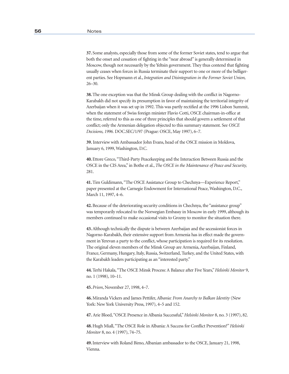**37.** Some analysts, especially those from some of the former Soviet states, tend to argue that both the onset and cessation of fighting in the "near abroad" is generally determined in Moscow, though not necessarily by the Yeltsin government. They thus contend that fighting usually ceases when forces in Russia terminate their support to one or more of the belligerent parties. See Hopmann et al., *Integration and Disintegration in the Former Soviet Union,* 26–30.

 **38.** The one exception was that the Minsk Group dealing with the conflict in Nagorno-Karabakh did not specify its presumption in favor of maintaining the territorial integrity of Azerbaijan when it was set up in 1992. This was partly rectified at the 1996 Lisbon Summit, when the statement of Swiss foreign minister Flavio Cotti, OSCE chairman-in-office at the time, referred to this as one of three principles that should govern a settlement of that conflict; only the Armenian delegation objected to this summary statement. See *OSCE Decisions, 1996.* DOC.SEC/1/97 (Prague: OSCE, May 1997), 6–7.

**39.** Interview with Ambassador John Evans, head of the OSCE mission in Moldova, January 6, 1999, Washington, D.C.

**40.** Ettore Greco, "Third-Party Peacekeeping and the Interaction Between Russia and the OSCE in the CIS Area," in Bothe et al., *The OSCE in the Maintenance of Peace and Security,*  281.

**41.** Tim Guldimann, "The OSCE Assistance Group to Chechnya—Experience Report," paper presented at the Carnegie Endowment for International Peace, Washington, D.C., March 11, 1997, 4–6.

 **42.** Because of the deteriorating security conditions in Chechnya, the "assistance group" was temporarily relocated to the Norwegian Embassy in Moscow in early 1999, although its members continued to make occasional visits to Grozny to monitor the situation there.

**43.** Although technically the dispute is between Azerbaijan and the secessionist forces in Nagorno-Karabakh, their extensive support from Armenia has in effect made the government in Yerevan a party to the conflict, whose participation is required for its resolution. The original eleven members of the Minsk Group are Armenia, Azerbaijan, Finland, France, Germany, Hungary, Italy, Russia, Switzerland, Turkey, and the United States, with the Karabakh leaders participating as an "interested party."

**44.** Terhi Hakala, "The OSCE Minsk Process: A Balance after Five Years," *Helsinki Monitor* 9, no. 1 (1998), 10–11.

**45.** *Prism*, November 27, 1998, 4–7.

**46.** Miranda Vickers and James Pettifer, *Albania: From Anarchy to Balkan Identity* (New York: New York University Press, 1997), 4–5 and 152.

**47.** Arie Bloed, "OSCE Presence in Albania Successful," *Helsinki Monitor* 8, no. 3 (1997), 82.

**48.** Hugh Miall, "The OSCE Role in Albania: A Success for Conflict Prevention?" *Helsinki Monitor* 8, no. 4 (1997), 74–75.

**49.** Interview with Roland Bimo, Albanian ambassador to the OSCE, January 21, 1998, Vienna.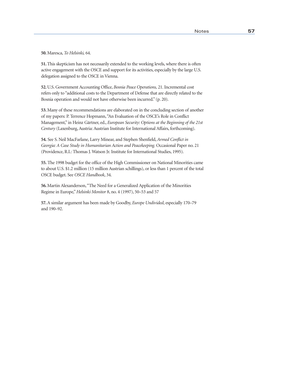**50.** Maresca, *To Helsinki,* 64.

**51.** This skepticism has not necessarily extended to the working levels, where there is often active engagement with the OSCE and support for its activities, especially by the large U.S. delegation assigned to the OSCE in Vienna.

**52.** U.S. Government Accounting Office, *Bosnia Peace Operations,* 21. Incremental cost refers only to "additional costs to the Department of Defense that are directly related to the Bosnia operation and would not have otherwise been incurred." (p. 20).

**53.** Many of these recommendations are elaborated on in the concluding section of another of my papers: P. Terrence Hopmann, "An Evaluation of the OSCE's Role in Conflict Management," in Heinz Gärtner, ed., *European Security: Options at the Beginning of the 21st Century* (Laxenburg, Austria: Austrian Institute for International Affairs, forthcoming).

**54.** See S. Neil MacFarlane, Larry Minear, and Stephen Shenfield, *Armed Conflict in Georgia: A Case Study in Humanitarian Action and Peacekeeping.* Occasional Paper no. 21 (Providence, R.I.: Thomas J. Watson Jr. Institute for International Studies, 1995).

**55.** The 1998 budget for the office of the High Commissioner on National Minorities came to about U.S. \$1.2 million (15 million Austrian schillings), or less than 1 percent of the total OSCE budget. See *OSCE Handbook*, 34.

**56.** Martin Alexanderson, "The Need for a Generalized Application of the Minorities Regime in Europe," *Helsinki Monitor* 8, no. 4 (1997), 50–53 and 57

 **57.** A similar argument has been made by Goodby, *Europe Undivided*, especially 170–79 and 190–92.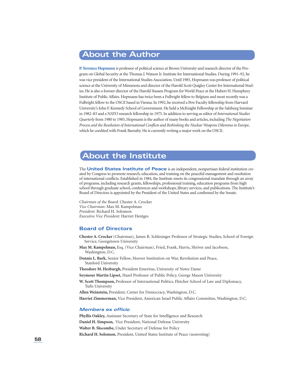# **About the Author**

**P. Terrence Hopmann** is professor of political science at Brown University and research director of the Program on Global Security at the Thomas J. Watson Jr. Institute for International Studies. During 1991–92, he was vice president of the International Studies Association. Until 1985, Hopmann was professor of political science at the University of Minnesota and director of the Harold Scott Quigley Center for International Studies. He is also a former director of the Harold Stassen Program for World Peace at the Hubert H. Humphrey Institute of Public Affairs. Hopmann has twice been a Fulbright fellow to Belgium and most recently was a Fulbright fellow to the OSCE based in Vienna. In 1992, he received a Pew Faculty fellowship from Harvard University's John F. Kennedy School of Government. He held a McKnight Fellowship at the Salzburg Seminar in 1982–83 and a NATO research fellowship in 1975. In addition to serving as editor of *International Studies Quarterly* from 1980 to 1985, Hopmann is the author of many books and articles, including *The Negotiation Process and the Resolution of International Conflicts* and *Rethinking the Nuclear Weapons Dilemma in Europe*, which he coedited with Frank Barnaby. He is currently writing a major work on the OSCE.

# **About the Institute**

The **United States Institute of Peace** is an independent, nonpartisan federal institution created by Congress to promote research, education, and training on the peaceful management and resolution of international conflicts. Established in 1984, the Institute meets its congressional mandate through an array of programs, including research grants, fellowships, professional training, education programs from high school through graduate school, conferences and workshops, library services, and publications. The Institute's Board of Directors is appointed by the President of the United States and confirmed by the Senate.

*Chairman of the Board:* Chester A. Crocker *Vice Chairman:* Max M. Kampelman *President:* Richard H. Solomon *Executive Vice President:* Harriet Hentges

### **Board of Directors**

**Chester A. Crocker** (Chairman), James R. Schlesinger Professor of Strategic Studies, School of Foreign Service, Georgetown University

- **Max M. Kampelman,** Esq. (Vice Chairman), Fried, Frank, Harris, Shriver and Jacobson, Washington, D.C.
- **Dennis L. Bark,** Senior Fellow, Hoover Institution on War, Revolution and Peace, Stanford University

**Theodore M. Hesburgh,** President Emeritus, University of Notre Dame

**Seymour Martin Lipset,** Hazel Professor of Public Policy, George Mason University

**W. Scott Thompson,** Professor of International Politics, Fletcher School of Law and Diplomacy, Tufts University

**Allen Weinstein,** President, Center for Democracy, Washington, D.C. **Harriet Zimmerman,** Vice President, American Israel Public Affairs Committee, Washington, D.C.

#### **Members ex officio**

**Phyllis Oakley,** Assistant Secretary of State for Intelligence and Research **Daniel H. Simpson,** Vice President, National Defense University **Walter B. Slocombe,** Under Secretary of Defense for Policy **Richard H. Solomon,** President, United States Institute of Peace (nonvoting)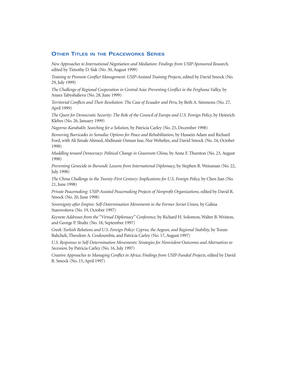#### **OTHER TITLES IN THE PEACEWORKS SERIES**

*New Approaches to International Negotiation and Mediation: Findings from USIP-Sponsored Research,*  edited by Timothy D. Sisk (No. 30, August 1999)

*Training to Promote Conflict Management: USIP-Assisted Training Projects,* edited by David Smock (No. 29, July 1999)

*The Challenge of Regional Cooperation in Central Asia: Preventing Conflict in the Ferghana Valley,* by Anara Tabyshalieva (No. 28, June 1999)

*Territorial Conflicts and Their Resolution: The Case of Ecuador and Peru,* by Beth A. Simmons (No. 27, April 1999)

*The Quest for Democratic Security: The Role of the Council of Europe and U.S. Foreign Policy,* by Heinrich Klebes (No. 26, January 1999)

*Nagorno-Karabakh: Searching for a Solution,* by Patricia Carley (No. 25, December 1998)

*Removing Barricades in Somalia: Options for Peace and Rehabilitation,* by Hussein Adam and Richard Ford, with Ali Jimale Ahmed, Abdinasir Osman Isse, Nur Weheliye, and David Smock (No. 24, October 1998)

*Muddling toward Democracy: Political Change in Grassroots China,* by Anne F. Thurston (No. 23*,* August 1998)

*Preventing Genocide in Burundi: Lessons from International Diplomacy,* by Stephen R. Weissman (No. 22, July 1998)

*The China Challenge in the Twenty-First Century: Implications for U.S. Foreign Policy,* by Chen Jian (No. 21, June 1998)

*Private Peacemaking: USIP-Assisted Peacemaking Projects of Nonprofit Organizations,* edited by David R. Smock (No. 20, June 1998)

*Sovereignty after Empire: Self-Determination Movements in the Former Soviet Union,* by Galina Starovoitova (No. 19, October 1997)

*Keynote Addresses from the "Virtual Diplomacy" Conference,* by Richard H. Solomon, Walter B. Wriston, and George P. Shultz (No. 18, September 1997)

*Greek-Turkish Relations and U.S. Foreign Policy: Cyprus, the Aegean, and Regional Stability,* by Tozun Bahcheli, Theodore A. Couloumbis, and Patricia Carley (No. 17, August 1997)

*U.S. Responses to Self-Determination Movements: Strategies for Nonviolent Outcomes and Alternatives to Secession,* by Patricia Carley (No. 16, July 1997)

*Creative Approaches to Managing Conflict in Africa: Findings from USIP-Funded Projects,* edited by David R. Smock (No. 15, April 1997)